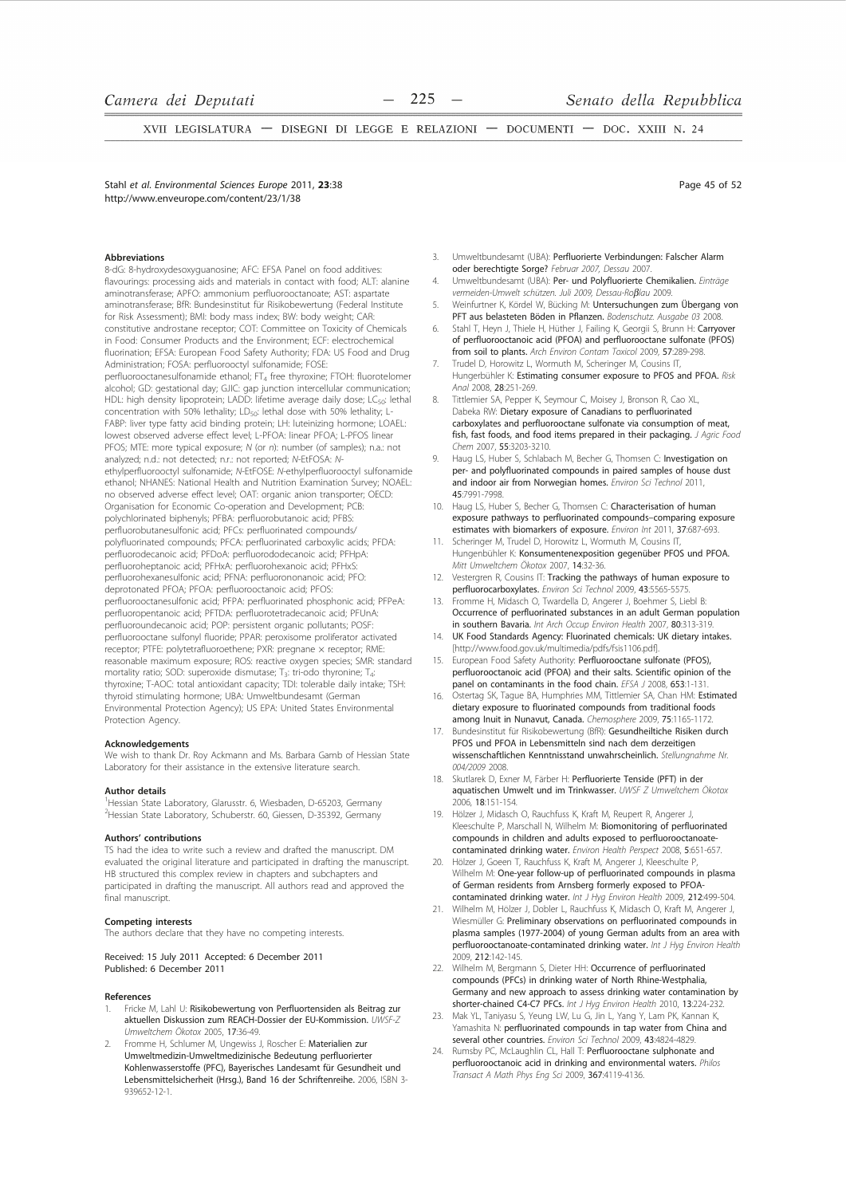Stahl et al. Environmental Sciences Eurone 2011, 23:38 http://www.enveurope.com/content/23/1/38

#### **Abbreviations**

8-dG: 8-hydroxydesoxyguanosine; AFC: EFSA Panel on food additives: flavourings: processing aids and materials in contact with food; ALT: alanine aminotransferase; APFO: ammonium perfluorooctanoate; AST: aspartate aminotransferase; BfR: Bundesinstitut für Risikobewertung (Federal Institute for Risk Assessment); BMI: body mass index; BW: body weight; CAR: constitutive androstane receptor; COT: Committee on Toxicity of Chemicals in Food: Consumer Products and the Environment; ECF: electrochemical fluorination; EFSA: European Food Safety Authority; FDA: US Food and Drug Administration; FOSA: perfluorooctyl sulfonamide; FOSE: perfluorooctanesulfonamide ethanol; FT<sub>4</sub> free thyroxine; FTOH: fluorotelomer alcohol; GD: gestational day; GJIC: gap junction intercellular communication; HDL: high density lipoprotein; LADD: lifetime average daily dose; LC<sub>50</sub>: lethal concentration with 50% lethality; LD<sub>50</sub>: lethal dose with 50% lethality; L-FABP: liver type fatty acid binding protein; LH: luteinizing hormone; LOAEL: lowest observed adverse effect level; L-PFOA: linear PFOA; L-PFOS linear PFOS: MTE: more typical exposure: N (or n): number (of samples): n.a.: not analyzed; n.d.: not detected; n.r.: not reported; N-EtFOSA: Nethylperfluorooctyl sulfonamide; N-EtFOSE: N-ethylperfluorooctyl sulfonamide ethanol; NHANES: National Health and Nutrition Examination Survey; NOAEL: no observed adverse effect level; OAT: organic anion transporter; OECD: Organisation for Economic Co-operation and Development; PCB: polychlorinated biphenyls; PFBA: perfluorobutanoic acid; PFBS: perfluorobutanesulfonic acid; PFCs: perfluorinated compounds/ polyfluorinated compounds; PFCA: perfluorinated carboxylic acids; PFDA: perfluorodecanoic acid; PFDoA: perfluorododecanoic acid; PFHpA: perfluoroheptanoic acid; PFHxA: perfluorohexanoic acid; PFHxS: perfluorohexanesulfonic acid; PFNA: perfluorononanoic acid; PFO: deprotonated PFOA; PFOA: perfluorooctanoic acid; PFOS: perfluorooctanesulfonic acid; PFPA: perfluorinated phosphonic acid; PFPeA: perfluoropentanoic acid; PFTDA: perfluorotetradecanoic acid; PFUnA: perfluoroundecanoic acid; POP: persistent organic pollutants; POSF: perfluorooctane sulfonyl fluoride; PPAR: peroxisome proliferator activated receptor; PTFE: polytetrafluoroethene; PXR: pregnane × receptor; RME reasonable maximum exposure; ROS: reactive oxygen species; SMR: standard mortality ratio; SOD: superoxide dismutase; T<sub>3</sub>: tri-odo thyronine; T<sub>4</sub>: thyroxine; T-AOC: total antioxidant capacity; TDI: tolerable daily intake; TSH: thyroid stimulating hormone; UBA: Umweltbundesamt (German Environmental Protection Agency); US EPA: United States Environmental Protection Agency.

#### Acknowledgements

We wish to thank Dr. Roy Ackmann and Ms. Barbara Gamb of Hessian State Laboratory for their assistance in the extensive literature search.

#### **Author details**

<sup>1</sup>Hessian State Laboratory, Glarusstr. 6, Wiesbaden, D-65203, Germany <sup>2</sup>Hessian State Laboratory, Schuberstr. 60, Giessen, D-35392, Germany

#### Authors' contributions

TS had the idea to write such a review and drafted the manuscript. DM evaluated the original literature and participated in drafting the manuscript. HB structured this complex review in chapters and subchapters and participated in drafting the manuscript. All authors read and approved the final manuscript.

## **Competing interests**

The authors declare that they have no competing interests

Received: 15 July 2011 Accepted: 6 December 2011 Published: 6 December 2011

#### References

- Fricke M, Lahl U: Risikobewertung von Perfluortensiden als Beitrag zur aktuellen Diskussion zum REACH-Dossier der EU-Kommission. UWSF-2 Umweltchem Ökotox 2005, 17:36-49.
- Fromme H, Schlumer M, Ungewiss J, Roscher E: Materialien zur Umweltmedizin-Umweltmedizinische Bedeutung perfluorierter Kohlenwasserstoffe (PFC), Bayerisches Landesamt für Gesundheit und Lebensmittelsicherheit (Hrsg.), Band 16 der Schriftenreihe. 2006, ISBN 3-939652-12-1
- Umweltbundesamt (UBA): Perfluorierte Verbindungen: Falscher Alarm  $\overline{3}$ . oder berechtigte Sorge? Februar 2007, Dessau 2007
- Umweltbundesamt (UBA): Per- und Polyfluorierte Chemikalien. Einträge  $\overline{4}$ vermeiden-Umwelt schützen. Juli 2009. Dessau-Roßlau 2009
- Weinfurtner K, Kördel W, Bücking M: Untersuchungen zum Übergang von 5. PFT aus belasteten Böden in Pflanzen. Bodenschutz. Ausgabe 03 2008
- Stahl T, Heyn J, Thiele H, Hüther J, Failing K, Georgii S, Brunn H: Carryover 6. of perfluorooctanoic acid (PFOA) and perfluorooctane sulfonate (PFOS) from soil to plants. Arch Environ Contam Toxicol 2009, 57:289-298
- Trudel D, Horowitz L, Wormuth M, Scheringer M, Cousins IT,  $7$ Hungerbühler K: Estimating consumer exposure to PFOS and PFOA. Risk Anal 2008, 28:251-269.
- Tittlemier SA, Pepper K, Seymour C, Moisey J, Bronson R, Cao XL,  $\overline{R}$ Dabeka RW: Dietary exposure of Canadians to perfluorinated carboxylates and perfluorooctane sulfonate via consumption of meat, fish, fast foods, and food items prepared in their packaging. J Agric Food Chem 2007, 55:3203-3210.
- Haug LS, Huber S, Schlabach M, Becher G, Thomsen C: Investigation on  $\overline{9}$ per- and polyfluorinated compounds in paired samples of house dust and indoor air from Norwegian homes. Environ Sci Technol 2011, 45.7991-7998
- Haug LS, Huber S, Becher G, Thomsen C: Characterisation of human  $10<sup>-10</sup>$ exposure pathways to perfluorinated compounds-comparing exposure estimates with biomarkers of exposure. Environ Int 2011, 37:687-693.
- $11.$ Scheringer M. Trudel D. Horowitz L. Wormuth M. Cousins L Hungenbühler K: Konsumentenexposition gegenüber PFOS und PFOA. Mitt Umweltchem Ökotox 2007, 14:32-36.
- Vestergren R, Cousins IT: Tracking the pathways of human exposure to  $12.$ perfluorocarboxylates. Environ Sci Technol 2009, 43:5565-5575
- Fromme H, Midasch O, Twardella D, Angerer J, Boehmer S, Liebl B 13. Occurrence of perfluorinated substances in an adult German population in southern Bavaria. Int Arch Occup Environ Health 2007, 80:313-319
- $14.$ UK Food Standards Agency: Fluorinated chemicals: UK dietary intakes. [http://www.food.gov.uk/multimedia/pdfs/fsis1106.pdf].
- 15. European Food Safety Authority: Perfluorooctane sulfonate (PFOS), perfluorooctanoic acid (PFOA) and their salts. Scientific opinion of the panel on contaminants in the food chain. EFSA J 2008, 653:1-131
- Ostertag SK, Tague BA, Humphries MM, Tittlemier SA, Chan HM: Estimated  $16<sup>-1</sup>$ dietary exposure to fluorinated compounds from traditional foods among Inuit in Nunavut, Canada. Chemosphere 2009, 75:1165-1172
- Bundesinstitut für Risikobewertung (BfR): Gesundheiltiche Risiken durch 17 PFOS und PFOA in Lebensmitteln sind nach dem derzeitigen wissenschaftlichen Kenntnisstand unwahrscheinlich. Stellungnahme Nr. 004/2009 2008
- Skutlarek D. Exner M. Färber H: Perfluorierte Tenside (PFT) in der  $18$ aquatischen Umwelt und im Trinkwasser. UWSF Z Umweltchem Ökotox 2006. 18:151-154.
- Hölzer J, Midasch O, Rauchfuss K, Kraft M, Reupert R, Angerer J, 19. Kleeschulte P, Marschall N, Wilhelm M: Biomonitoring of perfluorinated compounds in children and adults exposed to perfluorooctanoate contaminated drinking water. Environ Health Perspect 2008, 5:651-657.
- $\overline{20}$ Hölzer J, Goeen T, Rauchfuss K, Kraft M, Angerer J, Kleeschulte P, Wilhelm M: One-year follow-up of perfluorinated compounds in plasma of German residents from Arnsberg formerly exposed to PFOAcontaminated drinking water. Int J Hyg Environ Health 2009, 212:499-504.
- $21.$ Wilhelm M, Hölzer J, Dobler L, Rauchfuss K, Midasch O, Kraft M, Angerer J, Wiesmüller G: Preliminary observations on perfluorinated compounds in plasma samples (1977-2004) of young German adults from an area with pressure to the contaminated drinking water. Int J Hyg Environ Health .<br>2009. 212:142-145.
- Wilhelm M, Bergmann S, Dieter HH: Occurrence of perfluorinated compounds (PFCs) in drinking water of North Rhine-Westphalia, Germany and new approach to assess drinking water contamination by shorter-chained C4-C7 PFCs. Int J Hyg Environ Health 2010, 13:224-232
- Mak YL, Taniyasu S, Yeung LW, Lu G, Jin L, Yang Y, Lam PK, Kannan K Yamashita N: perfluorinated compounds in tap water from China and several other countries. Environ Sci Technol 2009, 43:4824-4829.
- Rumsby PC, McLaughlin CL, Hall T: Perfluorooctane sulphonate and  $24$ perfluorooctanoic acid in drinking and environmental waters. Philos Transact A Math Phys Eng Sci 2009, 367:4119-4136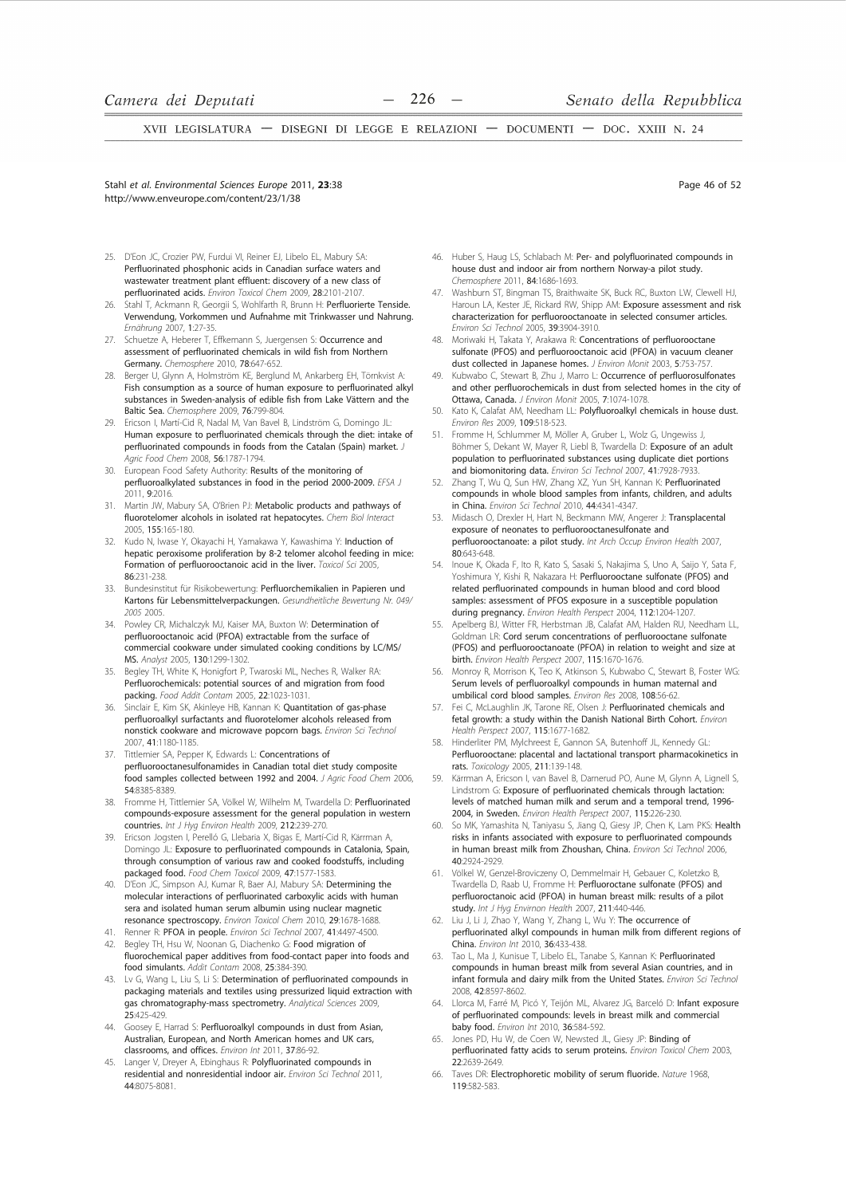Stahl et al. Environmental Sciences Europe 2011. 23:38 http://www.enveurope.com/content/23/1/38

- 25. D'Eon JC, Crozier PW, Furdui VI, Reiner EJ, Libelo EL, Mabury SA: Perfluorinated phosphonic acids in Canadian surface waters and wastewater treatment plant effluent: discovery of a new class of perfluorinated acids. Environ Toxicol Chem 2009. 28:2101-2107.
- Stahl T, Ackmann R, Georgii S, Wohlfarth R, Brunn H: Perfluorierte Tenside. 26. Verwendung, Vorkommen und Aufnahme mit Trinkwasser und Nahrung Frnährung 2007, 1:27-35.
- 27. Schuetze A, Heberer T, Effkemann S, Juergensen S: Occurrence and assessment of perfluorinated chemicals in wild fish from Northern Germany. Chemosphere 2010, 78:647-652.
- Berger U, Glynn A, Holmström KE, Berglund M, Ankarberg EH, Törnkvist A:  $28$ Fish consumption as a source of human exposure to perfluorinated alkyl substances in Sweden-analysis of edible fish from Lake Vättern and the Baltic Sea. Chemosphere 2009, 76:799-804.
- Ericson I, Martí-Cid R, Nadal M, Van Bavel B, Lindström G, Domingo JL:  $79$ Human exposure to perfluorinated chemicals through the diet: intake of perfluorinated compounds in foods from the Catalan (Spain) market. J Agric Food Chem 2008, 56:1787-1794.
- $30.$ European Food Safety Authority: Results of the monitoring of perfluoroalkylated substances in food in the period 2000-2009. EFSA J 0011.9:2016
- Martin JW, Mabury SA, O'Brien PJ: Metabolic products and pathways of  $31.$ fluorotelomer alcohols in isolated rat hepatocytes. Chem Biol Interact 2005, 155:165-180.
- $32.$ Kudo N, Iwase Y, Okayachi H, Yamakawa Y, Kawashima Y: Induction of hepatic peroxisome proliferation by 8-2 telomer alcohol feeding in mice: Formation of perfluorooctanoic acid in the liver. Toxicol Sci 2005 86:231-238
- 33. Bundesinstitut für Risikobewertung: Perfluorchemikalien in Papieren und Kartons für Lebensmittelverpackungen. Gesundheitliche Bewertung Nr. 049/ 2005 2005
- 34. Powley CR, Michalczyk MJ, Kaiser MA, Buxton W: Determination of perfluorooctanoic acid (PFOA) extractable from the surface of commercial cookware under simulated cooking conditions by LC/MS/ MS. Analyst 2005, 130:1299-1302.
- Begley TH, White K, Honigfort P, Twaroski ML, Neches R, Walker RA: 35. Perfluorochemicals: potential sources of and migration from food packing. Food Addit Contam 2005, 22:1023-1031.
- 36. Sinclair F. Kim SK, Akinleye HB, Kannan K: Quantitation of gas-phase perfluoroalkyl surfactants and fluorotelomer alcohols released from nonstick cookware and microwave popcorn bags. Environ Sci Technol 2007 41:1180-1185
- 37. Tittlemier SA, Pepper K, Edwards L: Concentrations of perfluorooctanesulfonamides in Canadian total diet study composite food samples collected between 1992 and 2004. J Agric Food Chem 2006. 54.8385-8389
- 38. Fromme H, Tittlemier SA, Völkel W, Wilhelm M, Twardella D: Perfluorinated compounds-exposure assessment for the general population in western countries. Int J Hyg Environ Health 2009, 212:239-270.
- Ericson Jogsten I, Perelló G, Llebaria X, Bigas E, Martí-Cid R, Kärrman A,  $30$ Domingo JL: Exposure to perfluorinated compounds in Catalonia, Spain, through consumption of various raw and cooked foodstuffs, including packaged food. Food Chem Toxicol 2009, 47:1577-1583.
- D'Eon JC, Simpson AJ, Kumar R, Baer AJ, Mabury SA: Determining the molecular interactions of perfluorinated carboxylic acids with human sera and isolated human serum albumin using nuclear magnetic resonance spectroscopy. Environ Toxicol Chem 2010, 29:1678-1688.
- 41. Renner R: PFOA in people. Environ Sci Technol 2007, 41:4497-4500.
- 42. Begley TH, Hsu W, Noonan G, Diachenko G: Food migration of fluorochemical paper additives from food-contact paper into foods and food simulants. Addit Contam 2008, 25:384-390.
- 43. Lv G, Wang L, Liu S, Li S: Determination of perfluorinated compounds in packaging materials and textiles using pressurized liquid extraction with gas chromatography-mass spectrometry. Analytical Sciences 2009 25.425-429
- 44. Goosey E, Harrad S: Perfluoroalkyl compounds in dust from Asian, Australian, European, and North American homes and UK cars, classrooms, and offices. Environ Int 2011, 37:86-92.
- 45. Langer V, Dreyer A, Ebinghaus R: Polyfluorinated compounds in residential and nonresidential indoor air. Environ Sci Technol 2011, 44.8075-8081

46. Huber S, Haug LS, Schlabach M: Per- and polyfluorinated compounds in house dust and indoor air from northern Norway-a pilot study Chemosphere 2011, 84:1686-1693.

- 47. Washburn ST, Bingman TS, Braithwaite SK, Buck RC, Buxton LW, Clewell HJ. Haroun LA, Kester JE, Rickard RW, Shipp AM: Exposure assessment and risk characterization for perfluorooctanoate in selected consumer articles Friviron Sci Technol 2005, 39:3904-3910.
- Moriwaki H. Takata Y. Arakawa R: Concentrations of perfluorooctane 48 sulfonate (PFOS) and perfluorooctanoic acid (PFOA) in vacuum cleaner dust collected in Japanese homes. J Environ Monit 2003, 5:753-757
- Kubwabo C. Stewart B. Zhu J. Marro L: Occurrence of perfluorosulfonates  $\Delta Q$ and other perfluorochemicals in dust from selected homes in the city of Ottawa, Canada. J Environ Monit 2005, 7:1074-1078.
- Kato K, Calafat AM, Needham LL: Polyfluoroalkyl chemicals in house dust. 50. Environ Res 2009, 109:518-523
- Fromme H, Schlummer M, Möller A, Gruber L, Wolz G, Ungewiss J, 51. Böhmer S, Dekant W, Mayer R, Liebl B, Twardella D: Exposure of an adult population to perfluorinated substances using duplicate diet portions and biomonitoring data. Environ Sci Technol 2007, 41:7928-7933
- Zhang T, Wu Q, Sun HW, Zhang XZ, Yun SH, Kannan K: Perfluorinated 52. compounds in whole blood samples from infants, children, and adults in China. Environ Sci Technol 2010, 44:4341-4347.
- Midasch O, Drexler H, Hart N, Beckmann MW, Angerer J: Transplacental exposure of neonates to perfluorooctanesulfonate and perfluorooctanoate: a pilot study. Int Arch Occup Environ Health 2007, 80:643-648
- Inoue K, Okada F, Ito R, Kato S, Sasaki S, Nakajima S, Uno A, Saijo Y, Sata F, Yoshimura Y, Kishi R, Nakazara H: Perfluorooctane sulfonate (PFOS) and related perfluorinated compounds in human blood and cord blood samples: assessment of PFOS exposure in a susceptible population during pregnancy. Environ Health Perspect 2004, 112:1204-1207.
- Apelberg BJ, Witter FR, Herbstman JB, Calafat AM, Halden RU, Needham LL, 55. Goldman LR: Cord serum concentrations of perfluorooctane sulfonate (PFOS) and perfluorooctanoate (PFOA) in relation to weight and size at birth. Environ Health Perspect 2007, 115:1670-1676.
- Monroy R, Morrison K, Teo K, Atkinson S, Kubwabo C, Stewart B, Foster WG: 56 Serum levels of perfluoroalkyl compounds in human maternal and umbilical cord blood samples. Environ Res 2008, 108:56-62.
- Fei C, McLaughlin JK, Tarone RE, Olsen J: Perfluorinated chemicals and 57 fetal growth: a study within the Danish National Birth Cohort. Environ Health Perspect 2007 115:1677-1682
- 58 Hinderliter PM, Mylchreest E, Gannon SA, Butenhoff JL, Kennedy GL: Perfluorooctane: placental and lactational transport pharmacokinetics in rats. Toxicology 2005, 211:139-148.
- Kärrman A, Ericson I, van Bavel B, Darnerud PO, Aune M, Glynn A, Lignell S,  $59$ Lindstrom G: Exposure of perfluorinated chemicals through lactation: levels of matched human milk and serum and a temporal trend, 1996-2004, in Sweden. Environ Health Perspect 2007, 115:226-230.
- So MK, Yamashita N, Taniyasu S, Jiang Q, Giesy JP, Chen K, Lam PKS: Health risks in infants associated with exposure to perfluorinated compounds in human breast milk from Zhoushan, China. Environ Sci Technol 2006, 40:2924-2929.
- Völkel W, Genzel-Broviczeny O, Demmelmair H, Gebauer C, Koletzko B, Twardella D, Raab U, Fromme H: Perfluoroctane sulfonate (PFOS) and perfluoroctanoic acid (PFOA) in human breast milk: results of a pilot study. Int J Hyg Envirnon Health 2007, 211:440-446.
- Liu J, Li J, Zhao Y, Wang Y, Zhang L, Wu Y: The occurrence of perfluorinated alkyl compounds in human milk from different regions of China. Environ Int 2010, 36:433-438.
- Tao L, Ma J, Kunisue T, Libelo EL, Tanabe S, Kannan K: Perfluorinated compounds in human breast milk from several Asian countries, and in infant formula and dairy milk from the United States. Environ Sci Technol 2008. 42:8597-8602.
- Llorca M, Farré M, Picó Y, Teijón ML, Alvarez JG, Barceló D: Infant exposure 64. of perfluorinated compounds: levels in breast milk and commercial baby food, Environ Int 2010, 36:584-592
- Jones PD, Hu W, de Coen W, Newsted JL, Giesy JP: Binding of 65 perfluorinated fatty acids to serum proteins. Environ Toxicol Chem 2003, 22:2639-2649
- Taves DR: Electrophoretic mobility of serum fluoride. Nature 1968, 66. 119582-583

Page 46 of 52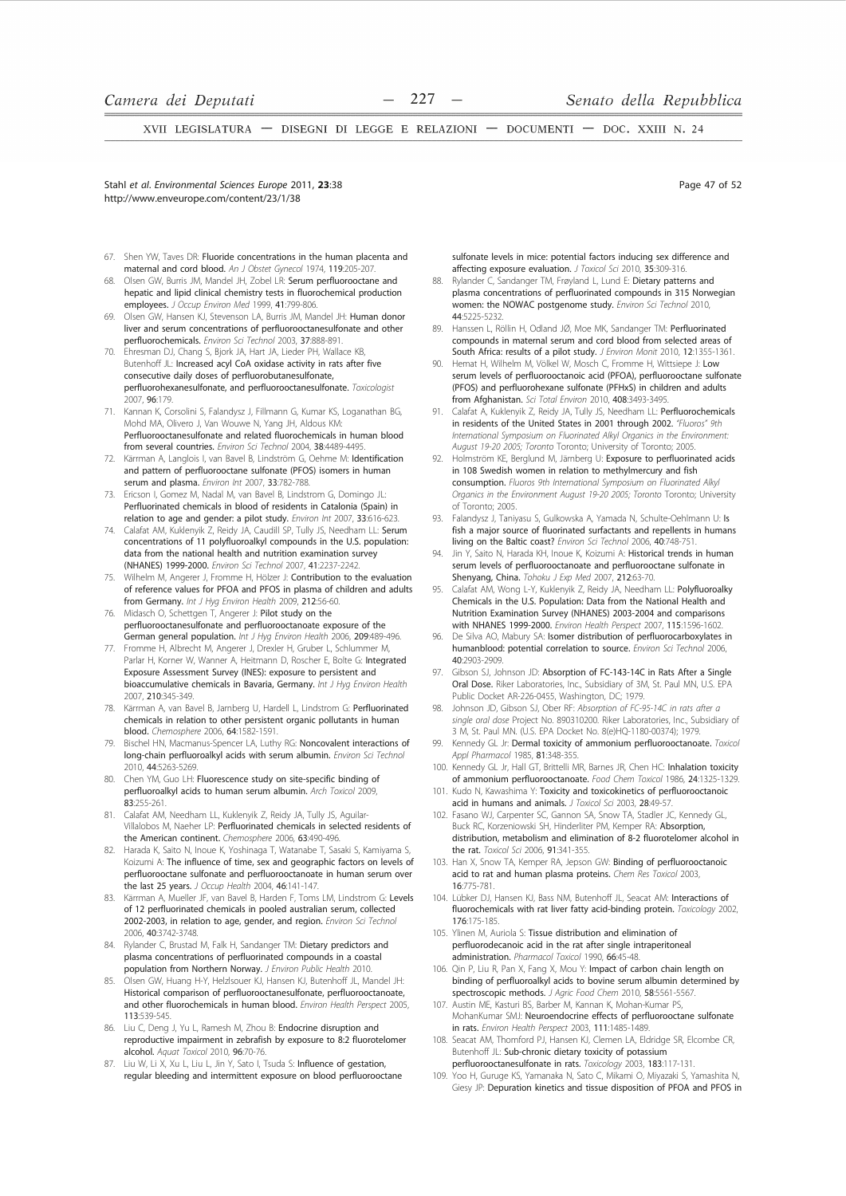Stahl et al. Environmental Sciences Eurone 2011, 23:38 http://www.enveurope.com/content/23/1/38

Page 47 of 52

- 67. Shen YW, Taves DR: Fluoride concentrations in the human placenta and maternal and cord blood. An J Obstet Gynecol 1974, 119:205-207.
- 68 Olsen GW, Burris JM, Mandel JH, Zobel LR: Serum perfluorooctane and hepatic and lipid clinical chemistry tests in fluorochemical production employees. J Occup Environ Med 1999. 41:799-806.
- Olsen GW Hansen KJ Stevenson LA Burris JM Mandel JH Human donor  $60$ liver and serum concentrations of perfluorooctanesulfonate and other perfluorochemicals. Environ Sci Technol 2003, 37:888-891.
- Ehresman DJ, Chang S, Bjork JA, Hart JA, Lieder PH, Wallace KB, 70. Butenhoff JL: Increased acyl CoA oxidase activity in rats after five consecutive daily doses of perfluorobutanesulfonate, perfluorohexanesulfonate, and perfluorooctanesulfonate. Toxicologist 2007. 96:179.
- Kannan K, Corsolini S, Falandysz J, Fillmann G, Kumar KS, Loganathan BG, 71. Mohd MA, Olivero J, Van Wouwe N, Yang JH, Aldous KM: Perfluorooctanesulfonate and related fluorochemicals in human blood from several countries. Environ Sci Technol 2004, 38:4489-4495
- Kärrman A, Langlois I, van Bavel B, Lindström G, Oehme M: Identification  $72.$ and pattern of perfluorooctane sulfonate (PFOS) isomers in human serum and plasma. Environ Int 2007, 33:782-788.
- $73$ Ericson I, Gomez M, Nadal M, van Bavel B, Lindstrom G, Domingo JL: Perfluorinated chemicals in blood of residents in Catalonia (Spain) in relation to age and gender: a pilot study. Environ Int 2007, 33:616-623.
- 74. Calafat AM, Kuklenyik Z, Reidy JA, Caudill SP, Tully JS, Needham LL: Serum concentrations of 11 polyfluoroalkyl compounds in the U.S. population: data from the national health and nutrition examination survey (NHANES) 1999-2000. Environ Sci Technol 2007, 41:2237-2242.
- Wilhelm M, Angerer J, Fromme H, Hölzer J: Contribution to the evaluation 75. of reference values for PFOA and PFOS in plasma of children and adults from Germany. Int J Hyg Environ Health 2009, 212:56-60.
- Midasch O, Schettgen T, Angerer J: Pilot study on the perfluorooctanesulfonate and perfluorooctanoate exposure of the German general population. Int J Hyg Environ Health 2006, 209:489-496.
- Fromme H, Albrecht M, Angerer J, Drexler H, Gruber L, Schlummer M, 77 Parlar H, Korner W, Wanner A, Heitmann D, Roscher E, Bolte G: Integrated Exposure Assessment Survey (INES): exposure to persistent and bioaccumulative chemicals in Bavaria, Germany. Int J Hyg Environ Health 2007. 210:345-349.
- Kärrman A, van Bavel B, Jarnberg U, Hardell L, Lindstrom G: Perfluorinated 78. chemicals in relation to other persistent organic pollutants in human blood. Chemosphere 2006, 64:1582-1591.
- Bischel HN, Macmanus-Spencer LA, Luthy RG: Noncovalent interactions of  $70$ long-chain perfluoroalkyl acids with serum albumin. Environ Sci Technol 2010, 44:5263-5269.
- $80<sub>o</sub>$ Chen YM, Guo LH: Fluorescence study on site-specific binding of perfluoroalkyl acids to human serum albumin. Arch Toxicol 2009, 83:255-261
- Calafat AM, Needham LL, Kuklenyik Z, Reidy JA, Tully JS, Aquilar-81. Villalobos M, Naeher LP: Perfluorinated chemicals in selected residents of the American continent Chemosphere 2006 63:490-496
- 82. Harada K, Saito N, Inoue K, Yoshinaga T, Watanabe T, Sasaki S, Kamiyama S, Koizumi A: The influence of time, sex and geographic factors on levels of perfluorooctane sulfonate and perfluorooctanoate in human serum over the last 25 years. J Occup Health 2004, 46:141-147.
- 83. Kärrman A, Mueller JF, van Bavel B, Harden F, Toms LM, Lindstrom G: Levels of 12 perfluorinated chemicals in pooled australian serum, collected 2002-2003, in relation to age, gender, and region. Environ Sci Technol 2006, 40:3742-3748
- 84. Rylander C, Brustad M, Falk H, Sandanger TM: Dietary predictors and plasma concentrations of perfluorinated compounds in a coastal population from Northern Norway. J Environ Public Health 2010.
- Olsen GW, Huang H-Y, Helzlsouer KJ, Hansen KJ, Butenhoff JL, Mandel JH: Historical comparison of perfluorooctanesulfonate, perfluorooctanoate, and other fluorochemicals in human blood. Environ Health Perspect 2005 113:539-545.
- Liu C, Deng J, Yu L, Ramesh M, Zhou B: Endocrine disruption and reproductive impairment in zebrafish by exposure to 8:2 fluorotelomer alcohol. Aquat Toxicol 2010, 96:70-76.
- 87. Liu W, Li X, Xu L, Liu L, Jin Y, Sato I, Tsuda S: Influence of gestation, regular bleeding and intermittent exposure on blood perfluorooctane

sulfonate levels in mice: potential factors inducing sex difference and affecting exposure evaluation. J Toxicol Sci 2010, 35:309-316.

- 88 Rylander C, Sandanger TM, Frøyland L, Lund E: Dietary patterns and plasma concentrations of perfluorinated compounds in 315 Norwegian women: the NOWAC postgenome study. Environ Sci Technol 2010, 44.5225-5232
- Hanssen L, Röllin H, Odland JØ, Moe MK, Sandanger TM: Perfluorinated 89 compounds in maternal serum and cord blood from selected areas of South Africa: results of a pilot study. J Environ Monit 2010, 12:1355-1361.<br>Hemat H, Wilhelm M, Völkel W, Mosch C, Fromme H, Wittsiepe J: Low
- $90$ serum levels of perfluorooctanoic acid (PFOA), perfluorooctane sulfonate (PFOS) and perfluorohexane sulfonate (PFHxS) in children and adults from Afghanistan. Sci Total Environ 2010, 408:3493-3495.
- Calafat A, Kuklenyik Z, Reidy JA, Tully JS, Needham LL: Perfluorochemicals in residents of the United States in 2001 through 2002. "Fluoros" 9th International Symposium on Fluorinated Alkyl Organics in the Environment: August 19-20 2005; Toronto Toronto; University of Toronto; 2005.
- Holmström KE, Berglund M, Järnberg U: Exposure to perfluorinated acids in 108 Swedish women in relation to methylmercury and fish consumption. Fluoros 9th International Symposium on Fluorinated Alkyl Organics in the Environment August 19-20 2005; Toronto Toronto; University of Toronto; 2005.
- Falandysz J, Taniyasu S, Gulkowska A, Yamada N, Schulte-Oehlmann U: Is 93. fish a major source of fluorinated surfactants and repellents in humans living on the Baltic coast? Environ Sci Technol 2006, 40:748-751
- Jin Y, Saito N, Harada KH, Inoue K, Koizumi A: Historical trends in human serum levels of perfluorooctanoate and perfluorooctane sulfonate in Shenyang, China. Tohoku J Exp Med 2007, 212:63-70.
- Calafat AM, Wong L-Y, Kuklenyik Z, Reidy JA, Needham LL: Polyfluoroalky Chemicals in the U.S. Population: Data from the National Health and Nutrition Examination Survey (NHANES) 2003-2004 and comparisons with NHANES 1999-2000. Environ Health Perspect 2007, 115:1596-1602.
- 96 De Silva AO, Mabury SA: Isomer distribution of perfluorocarboxylates in humanblood: potential correlation to source. Environ Sci Technol 2006, 40:2903-2909
- Gibson SJ, Johnson JD: Absorption of FC-143-14C in Rats After a Single Oral Dose. Riker Laboratories, Inc., Subsidiary of 3M, St. Paul MN, U.S. EPA Public Docket AR-226-0455, Washington, DC; 1979.
- Johnson JD, Gibson SJ, Ober RF: Absorption of FC-95-14C in rats after a single oral dose Project No. 890310200. Riker Laboratories, Inc., Subsidiary of 3 M. St. Paul MN. (U.S. FPA Docket No. 8(e)HO-1180-00374): 1979.
- Kennedy GL Jr: Dermal toxicity of ammonium perfluorooctanoate. Toxicol  $QQ$ Appl Pharmacol 1985, 81:348-355.
- 100. Kennedy GL Jr, Hall GT, Brittelli MR, Barnes JR, Chen HC: Inhalation toxicity of ammonium perfluorooctanoate. Food Chem Toxicol 1986, 24:1325-1329.
- 101. Kudo N, Kawashima Y: Toxicity and toxicokinetics of perfluorooctanoic acid in humans and animals. J Toxicol Sci 2003, 28:49-57
- 102. Fasano WJ, Carpenter SC, Gannon SA, Snow TA, Stadler JC, Kennedy GL, Buck RC, Korzeniowski SH, Hinderliter PM, Kemper RA: Absorption, distribution, metabolism and elimination of 8-2 fluorotelomer alcohol in the rat. Toxicol Sci 2006, 91:341-355.
- 103. Han X, Snow TA, Kemper RA, Jepson GW: Binding of perfluorooctanoic acid to rat and human plasma proteins. Chem Res Toxicol 2003. 16.775-781
- 104. Lübker DJ, Hansen KJ, Bass NM, Butenhoff JL, Seacat AM: Interactions of fluorochemicals with rat liver fatty acid-binding protein. Toxicology 2002, 176-175-185
- 105. Ylinen M, Auriola S: Tissue distribution and elimination of perfluorodecanoic acid in the rat after single intraperitoneal administration. Pharmacol Toxicol 1990, 66:45-48
- 106. Qin P, Liu R, Pan X, Fang X, Mou Y: Impact of carbon chain length on binding of perfluoroalkyl acids to bovine serum albumin determined by spectroscopic methods. J Agric Food Chem 2010, 58:5561-5567.
- Austin ME, Kasturi BS, Barber M, Kannan K, Mohan-Kumar PS 107 MohanKumar SMJ: Neuroendocrine effects of perfluorooctane sulfonate in rats. Environ Health Perspect 2003, 111:1485-1489.
- 108. Seacat AM, Thomford PJ, Hansen KJ, Clemen LA, Eldridge SR, Elcombe CR, Butenhoff JL: Sub-chronic dietary toxicity of potassium perfluorooctanesulfonate in rats. Toxicology 2003, 183:117-131.
- Yoo H, Guruge KS, Yamanaka N, Sato C, Mikami O, Miyazaki S, Yamashita N, 109. Giesy JP: Depuration kinetics and tissue disposition of PFOA and PFOS in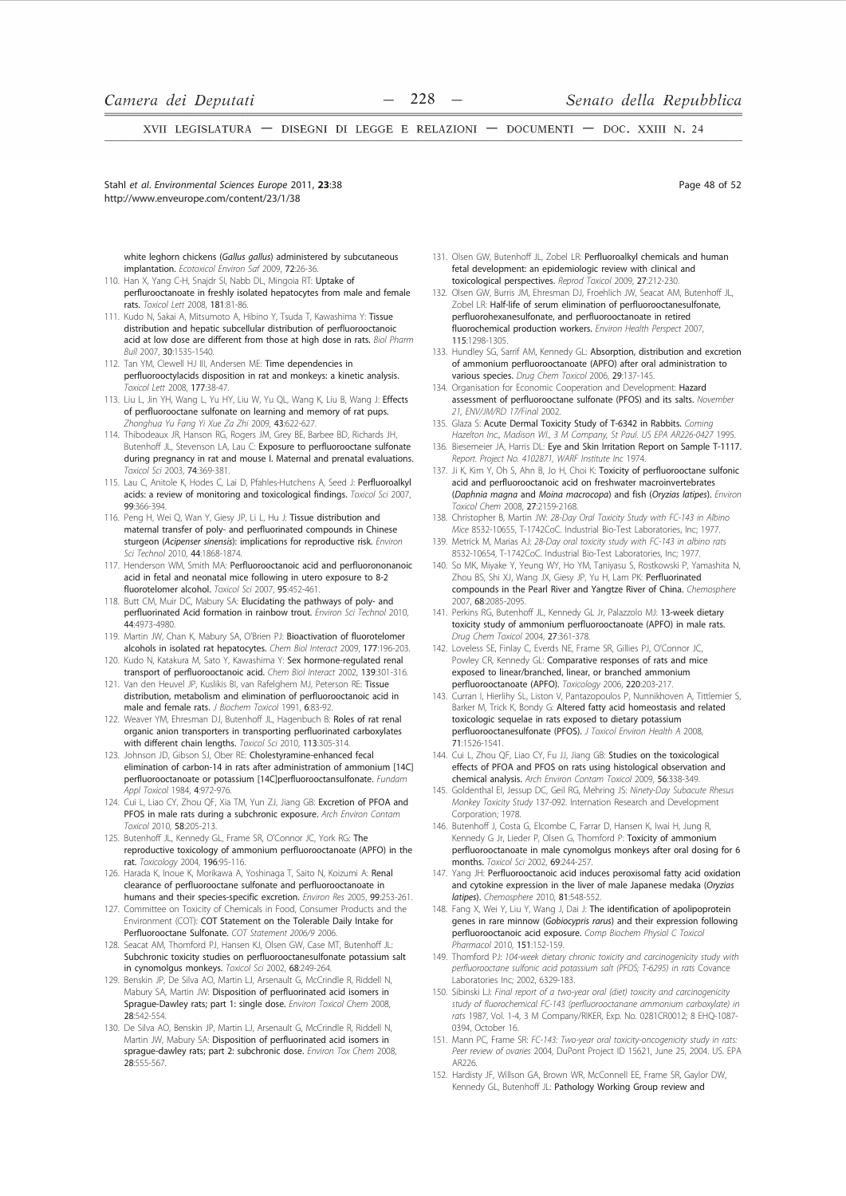Stahl et al. Environmental Sciences Eurone 2011, 23:38 http://www.enveurope.com/content/23/1/38

white leghorn chickens (Gallus gallus) administered by subcutaneous implantation. Ecotoxicol Environ Saf 2009, 72:26-36.

- 110. Han X, Yang C-H, Snajdr SI, Nabb DL, Mingoia RT: Uptake of perflurooctanoate in freshly isolated hepatocytes from male and female rats. Toxicol Lett 2008, 181:81-86.
- 111 Kudo N, Sakai A, Mitsumoto A, Hibino Y, Tsuda T, Kawashima Y; Tissue distribution and hepatic subcellular distribution of perfluorooctanoic acid at low dose are different from those at high dose in rats. Biol Pharm Bull 2007, 30:1535-1540.
- 112. Tan YM, Clewell HJ III, Andersen MF: Time dependencies in perfluorooctylacids disposition in rat and monkeys: a kinetic analysis. Toxicol Lett 2008, 177:38-47.
- 113. Liu L. Jin YH. Wang L. Yu HY. Liu W. Yu OL. Wang K. Liu B. Wang J: Effects of perfluorooctane sulfonate on learning and memory of rat pups. Zhonahua Yu Fana Yi Xue Za Zhi 2009, 43:622-627
- 114. Thibodeaux JR, Hanson RG, Rogers JM, Grey BE, Barbee BD, Richards JH, Butenhoff JL, Stevenson LA, Lau C: Exposure to perfluorooctane sulfonate during pregnancy in rat and mouse I. Maternal and prenatal evaluations. Toxicol Sci 2003, 74:369-381.
- 115. Lau C, Anitole K, Hodes C, Lai D, Pfahles-Hutchens A, Seed J: Perfluoroalkyl acids: a review of monitoring and toxicological findings. Toxicol Sci 2007, 99:366-394
- 116. Peng H, Wei Q, Wan Y, Giesy JP, Li L, Hu J: Tissue distribution and maternal transfer of poly- and perfluorinated compounds in Chinese sturgeon (Acipenser sinensis): implications for reproductive risk. Environ Sci Technol 2010, 44:1868-1874
- 117. Henderson WM, Smith MA: Perfluorooctanoic acid and perfluorononanoic acid in fetal and neonatal mice following in utero exposure to 8-2 fluorotelomer alcohol. Toxicol Sci 2007, 95:452-461.
- 118. Butt CM, Muir DC, Mabury SA: Elucidating the pathways of poly- and perfluorinated Acid formation in rainbow trout. Environ Sci Technol 2010, 44:4973-4980.
- 119. Martin JW, Chan K, Mabury SA, O'Brien PJ: Bioactivation of fluorotelomer alcohols in isolated rat hepatocytes. Chem Biol Interact 2009, 177:196-203. 120. Kudo N, Katakura M, Sato Y, Kawashima Y: Sex hormone-regulated renal
- transport of perfluorooctanoic acid. Chem Biol Interact 2002, 139:301-316. 121. Van den Heuvel JP, Kuslikis BI, van Rafelghem MJ, Peterson RE: Tissue
- distribution, metabolism and elimination of perfluorooctanoic acid in male and female rats. J Biochem Toxicol 1991, 6:83-92
- 122. Weaver YM, Ehresman DJ, Butenhoff JL, Hagenbuch B: Roles of rat renal organic anion transporters in transporting perfluorinated carboxylates with different chain lengths. Toxicol Sci 2010, 113:305-314
- 123. Johnson JD, Gibson SJ, Ober RE: Cholestyramine-enhanced fecal elimination of carbon-14 in rats after administration of ammonium  $[14C]$ perfluorooctanoate or potassium [14C]perfluorooctansulfonate. Fundam Appl Toxicol 1984, 4:972-976.
- 124. Cui L, Liao CY, Zhou QF, Xia TM, Yun ZJ, Jiang GB: Excretion of PFOA and PFOS in male rats during a subchronic exposure. Arch Environ Contam Toxicol 2010, 58:205-213.
- 125. Butenhoff JL, Kennedy GL, Frame SR, O'Connor JC, York RG: The reproductive toxicology of ammonium perfluorooctanoate (APFO) in the rat. Toxicology 2004, 196:95-116.
- 126. Harada K. Inoue K. Morikawa A. Yoshinaga T. Saito N. Koizumi A: Renal clearance of perfluorooctane sulfonate and perfluorooctanoate in humans and their species-specific excretion. Environ Res 2005, 99:253-261.
- 127. Committee on Toxicity of Chemicals in Food, Consumer Products and the Environment (COT): COT Statement on the Tolerable Daily Intake for Perfluorooctane Sulfonate. COT Statement 2006/9 2006
- 128. Seacat AM, Thomford PJ, Hansen KJ, Olsen GW, Case MT, Butenhoff JL: Subchronic toxicity studies on perfluorooctanesulfonate potassium salt in cynomolgus monkeys. Toxicol Sci 2002, 68:249-264.
- 129. Benskin JP, De Silva AO, Martin LJ, Arsenault G, McCrindle R, Riddell N, Mabury SA, Martin JW: Disposition of perfluorinated acid isomers in Sprague-Dawley rats; part 1: single dose. Environ Toxicol Chem 2008, 28:542-554
- 130. De Silva AO, Benskin JP, Martin LJ, Arsenault G, McCrindle R, Riddell N, Martin JW, Mabury SA: Disposition of perfluorinated acid isomers in sprague-dawley rats; part 2: subchronic dose. Environ Tox Chem 2008, 28:555-567

131. Olsen GW, Butenhoff JL, Zobel LR: Perfluoroalkyl chemicals and human fetal development: an epidemiologic review with clinical and toxicological perspectives. Reprod Toxicol 2009, 27:212-230.

- 132. Olsen GW, Burris JM, Ehresman DJ, Froehlich JW, Seacat AM, Butenhoff JL, Zobel LR: Half-life of serum elimination of perfluorooctanesulfonate, perfluorohexanesulfonate, and perfluorooctanoate in retired fluorochemical production workers. Environ Health Perspect 2007, 115-1298-1305
- 133. Hundley SG, Sarrif AM, Kennedy GL: Absorption, distribution and excretion of ammonium perfluorooctanoate (APFO) after oral administration to various species. Drug Chem Toxicol 2006, 29:137-145
- 134. Organisation for Economic Cooperation and Development: Hazard assessment of perfluorooctane sulfonate (PFOS) and its salts. November 21, ENV/JM/RD 17/Final 2002.
- 135. Glaza S: Acute Dermal Toxicity Study of T-6342 in Rabbits. Coming<br>Hazelton Inc., Madison WI., 3 M Company, St Paul. US EPA AR226-0427 1995.
- 136. Biesemeier JA, Harris DL: Eye and Skin Irritation Report on Sample T-1117. Report. Project No. 4102871, WARF Institute Inc 1974.
- 137. Ji K, Kim Y, Oh S, Ahn B, Jo H, Choi K: Toxicity of perfluorooctane sulfonic acid and perfluorooctanoic acid on freshwater macroinvertebrates (Daphnia magna and Moina macrocopa) and fish (Oryzias latipes). Environ Toxicol Chem 2008. 27:2159-2168.
- 138. Christopher B, Martin JW: 28-Day Oral Toxicity Study with FC-143 in Albino Mice 8532-10655, T-1742CoC. Industrial Bio-Test Laboratories, Inc; 1977. 139
- Metrick M, Marias AJ: 28-Day oral toxicity study with FC-143 in albino rats 8532-10654, T-1742CoC. Industrial Bio-Test Laboratories, Inc; 1977
- 140. So MK, Miyake Y, Yeung WY, Ho YM, Taniyasu S, Rostkowski P, Yamashita N, Zhou BS, Shi XJ, Wang JX, Giesy JP, Yu H, Lam PK: Perfluorinated compounds in the Pearl River and Yangtze River of China. Chemosphere 2007, 68:2085-2095
- 141. Perkins RG, Butenhoff JL, Kennedy GL Jr, Palazzolo MJ: 13-week dietary toxicity study of ammonium perfluorooctanoate (APFO) in male rats. Drug Chem Toxicol 2004, 27:361-378.
- 142. Loveless SE, Finlay C, Everds NE, Frame SR, Gillies PJ, O'Connor JC, Powley CR, Kennedy GL: Comparative responses of rats and mice exposed to linear/branched, linear, or branched ammonium perfluorooctanoate (APFO). Toxicology 2006, 220:203-217.
- 143. Curran I, Hierlihy SL, Liston V, Pantazopoulos P, Nunnikhoven A, Tittlemier S, Barker M, Trick K, Bondy G: Altered fatty acid homeostasis and related toxicologic sequelae in rats exposed to dietary potassium perfluorooctanesulfonate (PFOS). J Toxicol Environ Health A 2008 71-1526-1541
- 144. Cui L, Zhou QF, Liao CY, Fu JJ, Jiang GB: Studies on the toxicological effects of PFOA and PFOS on rats using histological observation and chemical analysis. Arch Environ Contam Toxicol 2009, 56:338-349.
- 145. Goldenthal El, Jessup DC, Geil RG, Mehring JS: Ninety-Day Subacute Rhesus Monkey Toxicity Study 137-092. Internation Research and Development Corporation: 1978.
- 146. Butenhoff J, Costa G, Elcombe C, Farrar D, Hansen K, Iwai H, Jung R, Kennedy G Jr, Lieder P, Olsen G, Thomford P: Toxicity of ammonium perfluorooctanoate in male cynomolgus monkeys after oral dosing for 6 months. Toxicol Sci 2002, 69:244-257
- 147. Yang JH: Perfluorooctanoic acid induces peroxisomal fatty acid oxidation and cytokine expression in the liver of male Japanese medaka (Oryzias latipes). Chemosphere 2010, 81:548-552.
- 148. Fang X, Wei Y, Liu Y, Wang J, Dai J: The identification of apolipoprotein genes in rare minnow (Gobiocypris rarus) and their expression following perfluorooctanoic acid exposure. Comp Biochem Physiol C Toxico Pharmacol 2010 151:152-159
- 149. Thomford PJ: 104-week dietary chronic toxicity and carcinogenicity study with perfluorooctane sulfonic acid potassium salt (PFOS; T-6295) in rats Covance Laboratories Inc; 2002, 6329-183.
- 150. Sibinski LJ: Final report of a two-year oral (diet) toxicity and carcinogenicity study of fluorochemical FC-143 (perfluorooctanane ammonium carboxylate) in rats 1987, Vol. 1-4, 3 M Company/RIKER, Exp. No. 0281CR0012; 8 EHQ-1087-0394, October 16
- 151. Mann PC, Frame SR: FC-143: Two-year oral toxicity-oncogenicity study in rats: Peer review of ovaries 2004, DuPont Project ID 15621, June 25, 2004. US. EPA AR226
- 152. Hardisty JF, Willson GA, Brown WR, McConnell EE, Frame SR, Gaylor DW, Kennedy GL, Butenhoff JL: Pathology Working Group review and

Page 48 of 52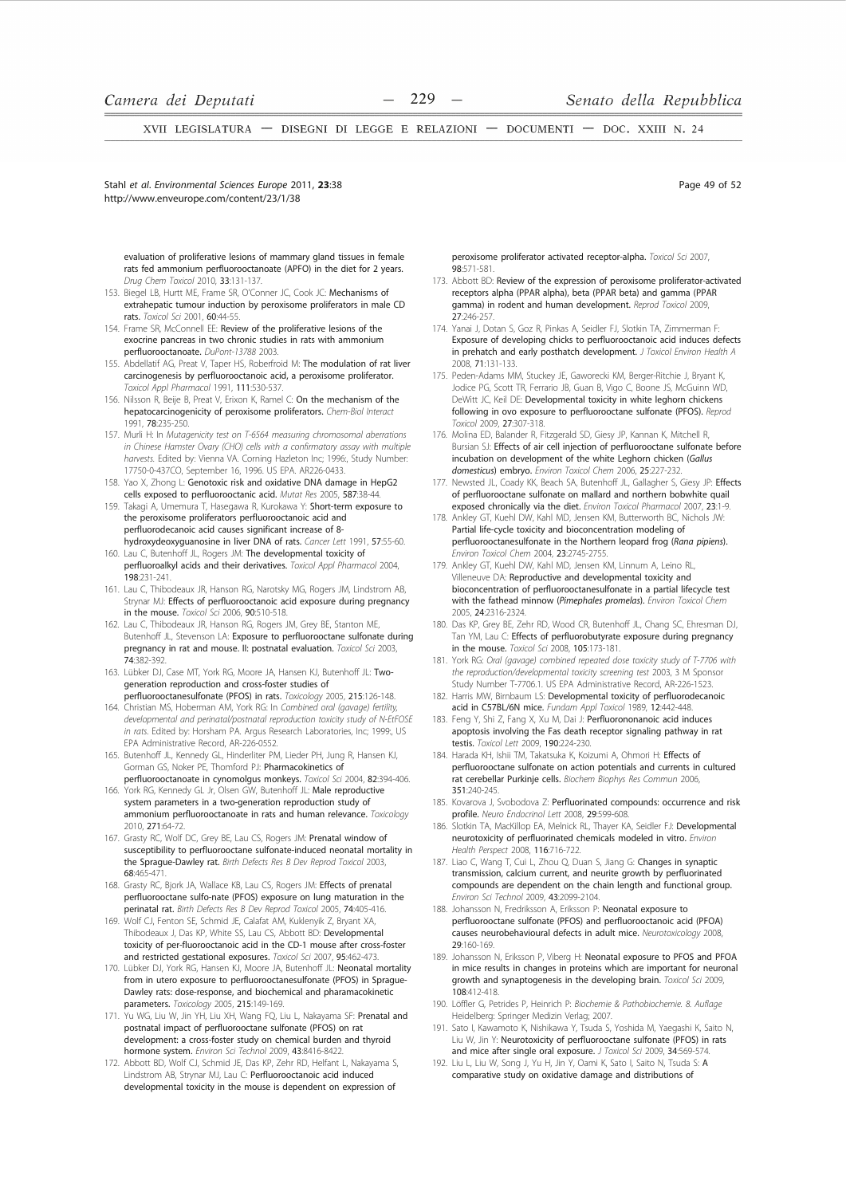Page 49 of 52

XVII LEGISLATURA - DISEGNI DI LEGGE E RELAZIONI - DOCUMENTI - DOC. XXIII N. 24

Stahl et al. Environmental Sciences Eurone 2011, 23:38 http://www.enveurope.com/content/23/1/38

evaluation of proliferative lesions of mammary gland tissues in female rats fed ammonium perfluorooctanoate (APFO) in the diet for 2 years. Drug Chem Toxicol 2010, 33:131-137.

- 153 Biegel LB, Hurtt ME, Frame SR, O'Conner JC, Cook JC: Mechanisms of extrahepatic tumour induction by peroxisome proliferators in male CD rats Toxicol Sci 2001 60:44-55
- 154. Frame SR, McConnell EE: Review of the proliferative lesions of the exocrine pancreas in two chronic studies in rats with ammonium perfluorooctanoate. DuPont-13788 2003.
- 155. Abdellatif AG, Preat V, Taper HS, Roberfroid M: The modulation of rat liver carcinogenesis by perfluorooctanoic acid, a peroxisome proliferator. Toxicol Appl Pharmacol 1991, 111:530-537.
- 156. Nilsson R. Beije B. Preat V. Erixon K. Ramel C: On the mechanism of the hepatocarcinogenicity of peroxisome proliferators. Chem-Biol Interact 1991. 78:235-250.
- 157. Murli H: In Mutagenicity test on T-6564 measuring chromosomal aberrations in Chinese Hamster Ovary (CHO) cells with a confirmatory assay with multiple harvests. Edited by: Vienna VA. Corning Hazleton Inc; 1996:, Study Number: 17750-0-437CO, September 16, 1996. US EPA. AR226-0433.
- 158. Yao X, Zhong L: Genotoxic risk and oxidative DNA damage in HepG2 cells exposed to perfluorooctanic acid. Mutat Res 2005, 587:38-44
- 159. Takagi A, Umemura T, Hasegawa R, Kurokawa Y: Short-term exposure to the peroxisome proliferators perfluorooctanoic acid and perfluorodecanoic acid causes significant increase of 8hydroxydeoxyguanosine in liver DNA of rats. Cancer Lett 1991, 57:55-60.
- 160. Lau C, Butenhoff JL, Rogers JM: The developmental toxicity of perfluoroalkyl acids and their derivatives. Toxicol Appl Pharmacol 2004, 198:231-241
- 161. Lau C, Thibodeaux JR, Hanson RG, Narotsky MG, Rogers JM, Lindstrom AB, Strynar MJ: Effects of perfluorooctanoic acid exposure during pregnancy in the mouse. Toxicol Sci 2006, 90:510-518
- 162. Lau C, Thibodeaux JR, Hanson RG, Rogers JM, Grey BE, Stanton ME, Butenhoff JL, Stevenson LA: Exposure to perfluorooctane sulfonate during pregnancy in rat and mouse. II: postnatal evaluation. Toxicol Sci 2003, 74:382-392
- 163. Lübker DJ, Case MT, York RG, Moore JA, Hansen KJ, Butenhoff JL: Twogeneration reproduction and cross-foster studies of perfluorooctanesulfonate (PFOS) in rats. Toxicology 2005, 215:126-148.
- 164. Christian MS, Hoberman AM, York RG: In Combined oral (gavage) fertility, developmental and perinatal/postnatal reproduction toxicity study of N-EtFOSE in rats. Edited by: Horsham PA. Argus Research Laboratories, Inc; 1999:, US EPA Administrative Record, AR-226-0552.
- 165. Butenhoff JL, Kennedy GL, Hinderliter PM, Lieder PH, Jung R, Hansen KJ, Gorman GS. Noker PE. Thomford PJ: Pharmacokinetics of
- perfluorooctanoate in cynomolgus monkeys. Toxicol Sci 2004, 82:394-406. 166. York RG, Kennedy GL Jr, Olsen GW, Butenhoff JL: Male reproductive system parameters in a two-generation reproduction study of ammonium perfluorooctanoate in rats and human relevance. Toxicology 2010. 271:64-72
- 167. Grasty RC, Wolf DC, Grey BE, Lau CS, Rogers JM: Prenatal window of susceptibility to perfluorooctane sulfonate-induced neonatal mortality in the Sprague-Dawley rat. Birth Defects Res B Dev Reprod Toxicol 2003, 68:465-471
- 168. Grasty RC, Bjork JA, Wallace KB, Lau CS, Rogers JM: Effects of prenatal perfluorooctane sulfo-nate (PFOS) exposure on lung maturation in the perinatal rat. Birth Defects Res B Dev Reprod Toxicol 2005, 74:405-416.
- 169. Wolf CJ, Fenton SE, Schmid JE, Calafat AM, Kuklenyik Z, Bryant XA Thibodeaux J, Das KP, White SS, Lau CS, Abbott BD: Developmental toxicity of per-fluorooctanoic acid in the CD-1 mouse after cross-foster and restricted gestational exposures. Toxicol Sci 2007, 95:462-473
- 170. Lübker DJ, York RG, Hansen KJ, Moore JA, Butenhoff JL: Neonatal mortality from in utero exposure to perfluorooctanesulfonate (PFOS) in Sprague-Dawley rats: dose-response, and biochemical and pharamacokinetic parameters. Toxicology 2005, 215:149-169.
- 171. Yu WG, Liu W, Jin YH, Liu XH, Wang FQ, Liu L, Nakayama SF: Prenatal and postnatal impact of perfluorooctane sulfonate (PFOS) on rat development: a cross-foster study on chemical burden and thyroid hormone system. Environ Sci Technol 2009, 43:8416-8422
- 172. Abbott BD, Wolf CJ, Schmid JE, Das KP, Zehr RD, Helfant L, Nakayama S, Lindstrom AB, Strynar MJ, Lau C: Perfluorooctanoic acid induced developmental toxicity in the mouse is dependent on expression of

peroxisome proliferator activated receptor-alpha. Toxicol Sci 2007, 98:571-581

- 173. Abbott BD: Review of the expression of peroxisome proliferator-activated receptors alpha (PPAR alpha), beta (PPAR beta) and gamma (PPAR gamma) in rodent and human development. Reprod Toxicol 2009,  $27.246 - 257$
- Yanai J, Dotan S, Goz R, Pinkas A, Seidler FJ, Slotkin TA, Zimmerman F: 174. Exposure of developing chicks to perfluorooctanoic acid induces defects in prehatch and early posthatch development. J Toxicol Environ Health A 2008. 71:131-133.
- 175. Peden-Adams MM, Stuckey JE, Gaworecki KM, Berger-Ritchie J, Bryant K, Jodice PG, Scott TR, Ferrario JB, Guan B, Vigo C, Boone JS, McGuinn WD, DeWitt JC, Keil DE: Developmental toxicity in white leghorn chickens following in ovo exposure to perfluorooctane sulfonate (PFOS). Reprod Toxicol 2009. 27:307-318.
- 176. Molina ED, Balander R, Fitzgerald SD, Giesy JP, Kannan K, Mitchell R, Bursian SJ: Effects of air cell injection of perfluorooctane sulfonate before incubation on development of the white Leghorn chicken (Gallus domesticus) embryo. Environ Toxicol Chem 2006, 25:227-232.
- 177. Newsted JL, Coady KK, Beach SA, Butenhoff JL, Gallagher S, Giesy JP: Effects of perfluorooctane sulfonate on mallard and northern bobwhite quail exposed chronically via the diet. Environ Toxicol Pharmacol 2007, 23:1-9.
- 178. Ankley GT, Kuehl DW, Kahl MD, Jensen KM, Butterworth BC, Nichols JW: Partial life-cycle toxicity and bioconcentration modeling of perfluorooctanesulfonate in the Northern leopard frog (Rana pipiens). .<br>Environ Toxicol Chem 2004, 23:2745-2755.
- 179. Ankley GT, Kuehl DW, Kahl MD, Jensen KM, Linnum A, Leino RL, Villeneuve DA: Reproductive and developmental toxicity and bioconcentration of perfluorooctanesulfonate in a partial lifecycle test with the fathead minnow (Pimephales promelas). Environ Toxicol Chem 2005, 24:2316-2324
- Das KP, Grey BE, Zehr RD, Wood CR, Butenhoff JL, Chang SC, Ehresman DJ, 180. Tan YM, Lau C: Effects of perfluorobutyrate exposure during pregnancy in the mouse. Toxicol Sci 2008, 105:173-181.
- 181. York RG: Oral (gavage) combined repeated dose toxicity study of T-7706 with the reproduction/developmental toxicity screening test 2003, 3 M Sponsor Study Number T-7706.1, US FPA Administrative Record, AR-226-1523.
- 182. Harris MW, Birnbaum LS: Developmental toxicity of perfluorodecanoic acid in C57BL/6N mice. Fundam Appl Toxicol 1989, 12:442-448.
- 183. Feng Y, Shi Z, Fang X, Xu M, Dai J: Perfluorononanoic acid induces apoptosis involving the Fas death receptor signaling pathway in rat testis. Toxicol Lett 2009. 190:224-230.
- 184. Harada KH, Ishii TM, Takatsuka K, Koizumi A, Ohmori H: Effects of perfluorooctane sulfonate on action potentials and currents in cultured rat cerebellar Purkinje cells. Biochem Biophys Res Commun 2006,  $351.240 - 245$
- 185. Kovarova J, Svobodova Z: Perfluorinated compounds: occurrence and risk profile. Neuro Endocrinol Lett 2008, 29:599-608
- Slotkin TA, MacKillop FA, Melnick RL, Thaver KA, Seidler FJ: Developmental 186 neurotoxicity of perfluorinated chemicals modeled in vitro. Environ Health Perspect 2008, 116:716-722.
- 187. Liao C, Wang T, Cui L, Zhou Q, Duan S, Jiang G: Changes in synaptic transmission, calcium current, and neurite growth by perfluorinated compounds are dependent on the chain length and functional group. Environ Sci Technol 2009, 43:2099-2104.
- 188. Johansson N, Fredriksson A, Eriksson P: Neonatal exposure to perfluorooctane sulfonate (PFOS) and perfluorooctanoic acid (PFOA) causes neurobehavioural defects in adult mice. Neurotoxicology 2008 29:160-169
- 189. Johansson N, Eriksson P, Viberg H: Neonatal exposure to PFOS and PFOA in mice results in changes in proteins which are important for neuronal growth and synaptogenesis in the developing brain. Toxicol Sci 2009, 108:412-418
- 190. Löffler G, Petrides P, Heinrich P: Biochemie & Pathobiochemie. 8. Auflage Heidelberg: Springer Medizin Verlag; 2007.
- 191. Sato I, Kawamoto K, Nishikawa Y, Tsuda S, Yoshida M, Yaegashi K, Saito N, Liu W, Jin Y: Neurotoxicity of perfluorooctane sulfonate (PFOS) in rats and mice after single oral exposure. J Toxicol Sci 2009, 34:569-574.
- 192. Liu L, Liu W, Song J, Yu H, Jin Y, Oami K, Sato I, Saito N, Tsuda S: A comparative study on oxidative damage and distributions of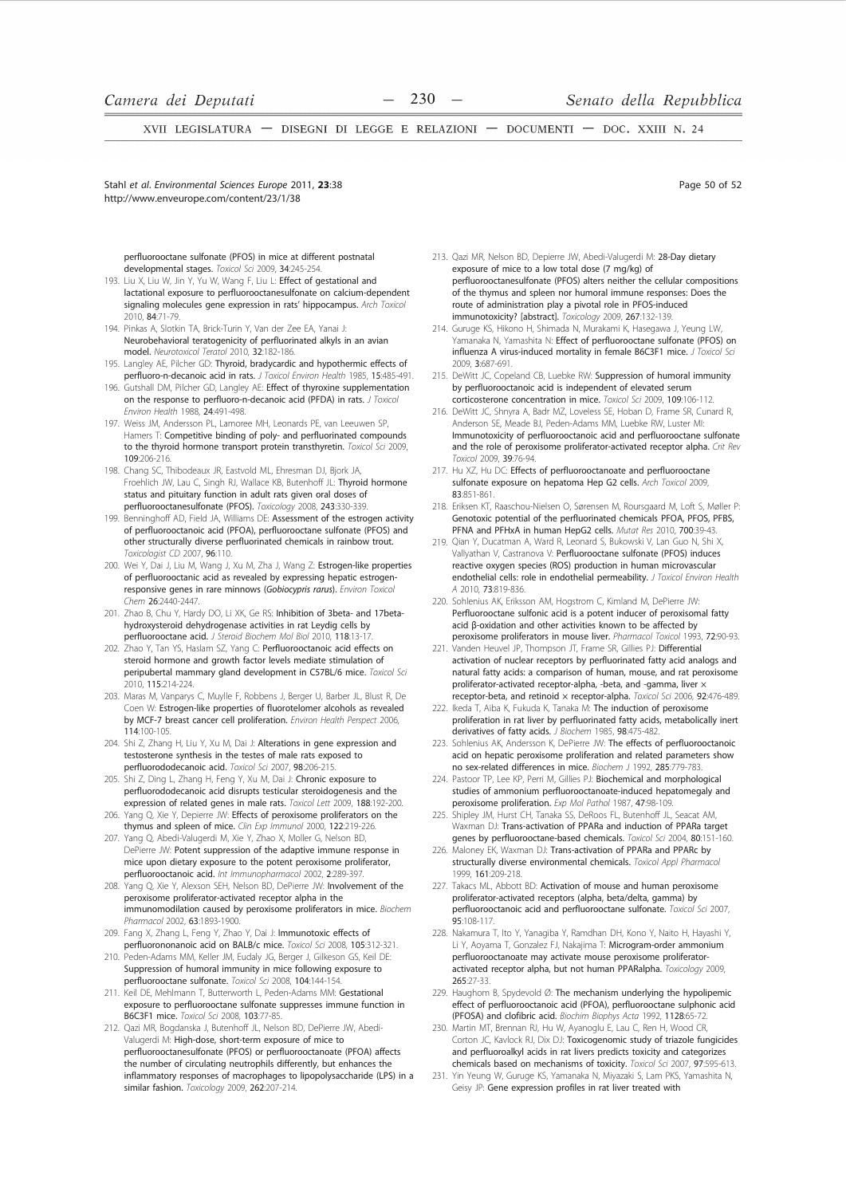Stahl et al. Environmental Sciences Eurone 2011, 23:38 http://www.enveurope.com/content/23/1/38

Page 50 of 52

perfluorooctane sulfonate (PFOS) in mice at different postnatal developmental stages. Toxicol Sci 2009, 34:245-254.

- 193. Liu X, Liu W, Jin Y, Yu W, Wang F, Liu L: Effect of gestational and lactational exposure to perfluorooctanesulfonate on calcium-dependent signaling molecules gene expression in rats' hippocampus. Arch Toxicol 2010 84:71-79
- 194. Pinkas A, Slotkin TA, Brick-Turin Y, Van der Zee EA, Yanai J: Neurobehavioral teratogenicity of perfluorinated alkyls in an avian model. Neurotoxicol Teratol 2010, 32:182-186.
- 195. Langley AE, Pilcher GD: Thyroid, bradycardic and hypothermic effects of perfluoro-n-decanoic acid in rats. *I Toxicol Environ Health* 1985, 15:485-491.
- 196. Gutshall DM. Pilcher GD. Langley AE: Effect of thyroxine supplementation on the response to perfluoro-n-decanoic acid (PFDA) in rats. J Toxicol Environ Health 1988, 24:491-498.
- 197. Weiss JM, Andersson PL, Lamoree MH, Leonards PE, van Leeuwen SP, Hamers T: Competitive binding of poly- and perfluorinated compounds to the thyroid hormone transport protein transthyretin. Toxicol Sci 2009. 109:206-216.
- 198. Chang SC, Thibodeaux JR, Eastvold ML, Ehresman DJ, Bjork JA, Froehlich JW, Lau C, Singh RJ, Wallace KB, Butenhoff JL: Thyroid hormone status and pituitary function in adult rats given oral doses of perfluorooctanesulfonate (PFOS). Toxicology 2008, 243:330-339.
- 199. Benninghoff AD, Field JA, Williams DE: Assessment of the estrogen activity of perfluorooctanoic acid (PFOA), perfluorooctane sulfonate (PFOS) and other structurally diverse perfluorinated chemicals in rainbow trout. Toxicologist CD 2007, 96:110.
- 200. Wei Y, Dai J, Liu M, Wang J, Xu M, Zha J, Wang Z: Estrogen-like properties of perfluorooctanic acid as revealed by expressing hepatic estrogenresponsive genes in rare minnows (Gobiocypris rarus). Environ Toxicol Chem 26:2440-2447.
- 201. Zhao B, Chu Y, Hardy DO, Li XK, Ge RS: Inhibition of 3beta- and 17betahydroxysteroid dehydrogenase activities in rat Leydig cells by perfluorooctane acid. J Steroid Biochem Mol Biol 2010, 118:13-1
- 202. Zhao Y, Tan YS, Haslam SZ, Yang C: Perfluorooctanoic acid effects on steroid hormone and growth factor levels mediate stimulation of peripubertal mammary gland development in C57BL/6 mice. Toxicol Sci 2010, 115:214-224.
- 203. Maras M, Vanparys C, Muylle F, Robbens J, Berger U, Barber JL, Blust R, De Coen W: Estrogen-like properties of fluorotelomer alcohols as revealed by MCF-7 breast cancer cell proliferation. Environ Health Perspect 2006,  $114.100 - 105$
- 204. Shi Z, Zhang H, Liu Y, Xu M, Dai J: Alterations in gene expression and testosterone synthesis in the testes of male rats exposed to perfluorododecanoic acid. Toxicol Sci 2007, 98:206-215.
- 205. Shi Z, Ding L, Zhang H, Feng Y, Xu M, Dai J: Chronic exposure to perfluorododecanoic acid disrupts testicular steroidogenesis and the expression of related genes in male rats. Toxicol Lett 2009, 188:192-200. 206. Yang O. Xie Y. Depierre JW: Effects of peroxisome proliferators on the
- thymus and spleen of mice. Clin Exp Immunol 2000 122:219-226 207 Yang O Abedi-Valugerdi M Xie Y Zhao X Moller G Nelson BD
- DePierre JW: Potent suppression of the adaptive immune response in mice upon dietary exposure to the potent peroxisome proliferator, perfluorooctanoic acid. Int Immunopharmacol 2002. 2:289-397.
- 208. Yang Q, Xie Y, Alexson SEH, Nelson BD, DePierre JW: Involvement of the peroxisome proliferator-activated receptor alpha in the immunomodilation caused by peroxisome proliferators in mice. Biochem Pharmacol 2002, 63:1893-1900.
- 209. Fang X, Zhang L, Feng Y, Zhao Y, Dai J: Immunotoxic effects of perfluorononanoic acid on BALB/c mice. Toxicol Sci 2008, 105:312-321.
- 210. Peden-Adams MM, Keller JM, Eudaly JG, Berger J, Gilkeson GS, Keil DE: Suppression of humoral immunity in mice following exposure to perfluorooctane sulfonate. Toxicol Sci 2008, 104:144-154
- 211. Keil DE, Mehlmann T, Butterworth L, Peden-Adams MM: Gestational exposure to perfluorooctane sulfonate suppresses immune function in B6C3F1 mice. Toxicol Sci 2008, 103:77-85.
- 212. Qazi MR, Bogdanska J, Butenhoff JL, Nelson BD, DePierre JW, Abedi-Valugerdi M: High-dose, short-term exposure of mice to perfluorooctanesulfonate (PFOS) or perfluorooctanoate (PFOA) affects the number of circulating neutrophils differently, but enhances the inflammatory responses of macrophages to lipopolysaccharide (LPS) in a similar fashion. Toxicology 2009, 262:207-214.
- 213. Qazi MR, Nelson BD, Depierre JW, Abedi-Valugerdi M: 28-Day dietary exposure of mice to a low total dose (7 mg/kg) of perfluorooctanesulfonate (PFOS) alters neither the cellular compositions of the thymus and spleen nor humoral immune responses: Does the route of administration play a pivotal role in PFOS-induced immunotoxicity? [abstract]. Toxicology 2009, 267:132-139.
- 214. Guruge KS, Hikono H, Shimada N, Murakami K, Hasegawa J, Yeung LW, Yamanaka N, Yamashita N: Effect of perfluorooctane sulfonate (PFOS) on influenza A virus-induced mortality in female B6C3F1 mice. J Toxicol Sci 2009. 3:687-691.
- 215. DeWitt JC, Copeland CB, Luebke RW: Suppression of humoral immunity by perfluorooctanoic acid is independent of elevated serum corticosterone concentration in mice. Toxicol Sci 2009, 109:106-112
- 216. DeWitt JC, Shnyra A, Badr MZ, Loveless SE, Hoban D, Frame SR, Cunard R, Anderson SE, Meade BJ, Peden-Adams MM, Luebke RW, Luster MI: Immunotoxicity of perfluorooctanoic acid and perfluorooctane sulfonate and the role of peroxisome proliferator-activated receptor alpha. Crit Rev Toxicol 2009, 39:76-94.
- 217. Hu XZ, Hu DC: Effects of perfluorooctanoate and perfluorooctane sulfonate exposure on hepatoma Hep G2 cells. Arch Toxicol 2009, 83.851-861
- 218. Eriksen KT, Raaschou-Nielsen O, Sørensen M, Roursgaard M, Loft S, Møller P: Genotoxic potential of the perfluorinated chemicals PFOA, PFOS, PFBS, PFNA and PFHxA in human HepG2 cells. Mutat Res 2010, 700:39-43.
- 219. Qian Y, Ducatman A, Ward R, Leonard S, Bukowski V, Lan Guo N, Shi X, Vallyathan V, Castranova V: Perfluorooctane sulfonate (PFOS) induces reactive oxygen species (ROS) production in human microvascular endothelial cells: role in endothelial permeability. J Toxicol Environ Health 4 2010, 73:819-836
- 220. Sohlenius AK, Eriksson AM, Hogstrom C, Kimland M, DePierre JW: Perfluorooctane sulfonic acid is a potent inducer of peroxisomal fatty acid β-oxidation and other activities known to be affected by peroxisome proliferators in mouse liver. Pharmacol Toxicol 1993, 72:90-93.
- 221. Vanden Heuvel JP, Thompson JT, Frame SR, Gillies PJ: Differential activation of nuclear receptors by perfluorinated fatty acid analogs and natural fatty acids: a comparison of human, mouse, and rat peroxisome proliferator-activated receptor-alpha, -beta, and -gamma, liver : receptor-beta, and retinoid x receptor-alpha. Toxicol Sci 2006, 92:476-489.
- 222. Ikeda T, Aiba K, Fukuda K, Tanaka M: The induction of peroxisome proliferation in rat liver by perfluorinated fatty acids, metabolically inert derivatives of fatty acids. J Biochem 1985, 98:475-482.
- Sohlenius AK, Andersson K, DePierre JW: The effects of perfluorooctanoic ววว acid on hepatic peroxisome proliferation and related parameters show no sex-related differences in mice. Biochem J 1992, 285:779-783
- 224 Pastoor TP, Lee KP, Perri M, Gillies PJ: Biochemical and morphological studies of ammonium perfluorooctanoate-induced hepatomegaly and peroxisome proliferation. Exp Mol Pathol 1987, 47:98-109.
- Shipley JM, Hurst CH, Tanaka SS, DeRoos FL, Butenhoff JL, Seacat AM. 225. Waxman DJ: Trans-activation of PPARa and induction of PPARa target genes by perfluorooctane-based chemicals. Toxicol Sci 2004, 80:151-160
- 226. Maloney EK, Waxman DJ: Trans-activation of PPARa and PPARc by structurally diverse environmental chemicals. Toxicol Appl Pharmacol 1999. 161:209-218.
- 227. Takacs ML, Abbott BD: Activation of mouse and human peroxisome proliferator-activated receptors (alpha, beta/delta, gamma) by perfluorooctanoic acid and perfluorooctane sulfonate. Toxicol Sci 2007,  $95:108-117$
- 228. Nakamura T, Ito Y, Yanagiba Y, Ramdhan DH, Kono Y, Naito H, Hayashi Y, Li Y, Aoyama T, Gonzalez FJ, Nakajima T: Microgram-order ammonium perfluorooctanoate may activate mouse peroxisome proliferatoractivated receptor alpha, but not human PPARalpha. Toxicology 2009, 265:27-33
- 229. Haughom B, Spydevold Ø: The mechanism underlying the hypolipemic effect of perfluorooctanoic acid (PFOA), perfluorooctane sulphonic acid (PFOSA) and clofibric acid. Biochim Biophys Acta 1992, 1128:65-72
- 230. Martin MT, Brennan RJ, Hu W, Ayanoglu E, Lau C, Ren H, Wood CR Corton JC, Kavlock RJ, Dix DJ: Toxicogenomic study of triazole fungicides and perfluoroalkyl acids in rat livers predicts toxicity and categorizes chemicals based on mechanisms of toxicity. Toxicol Sci 2007, 97:595-613.
- 231. Yin Yeung W, Guruge KS, Yamanaka N, Miyazaki S, Lam PKS, Yamashita N, Geisy JP: Gene expression profiles in rat liver treated with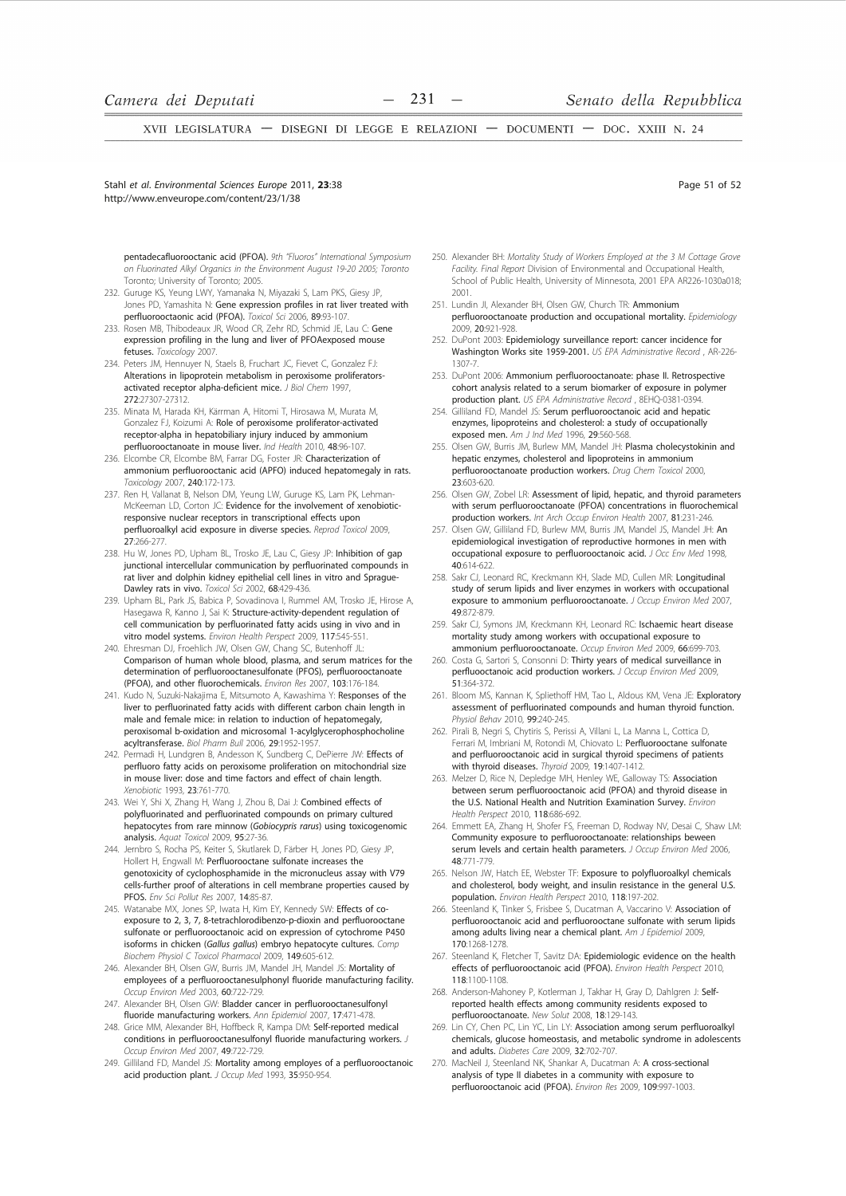Stahl et al. Environmental Sciences Eurone 2011, 23:38 http://www.enveurope.com/content/23/1/38

Page 51 of 52

pentadecafluorooctanic acid (PFOA). 9th "Fluoros" International Symposium on Fluorinated Alkyl Organics in the Environment August 19-20 2005; Toronto Toronto; University of Toronto; 2005.

- 232. Guruge KS, Yeung LWY, Yamanaka N, Miyazaki S, Lam PKS, Giesy JP, Jones PD, Yamashita N: Gene expression profiles in rat liver treated with perfluorooctaonic acid (PFOA). Toxicol Sci 2006, 89:93-107.
- 233. Rosen MB, Thibodeaux JR, Wood CR, Zehr RD, Schmid JE, Lau C: Gene expression profiling in the lung and liver of PFOAexposed mouse fetuses. Toxicology 2007.
- 234. Peters JM. Hennuver N. Staels B. Fruchart JC. Fievet C. Gonzalez FJ: Alterations in lipoprotein metabolism in peroxisome proliferatorsactivated receptor alpha-deficient mice. J Biol Chem 1997, 272:27307-27312.
- 235. Minata M, Harada KH, Kärrman A, Hitomi T, Hirosawa M, Murata M, Gonzalez FJ, Koizumi A: Role of peroxisome proliferator-activated receptor-alpha in hepatobiliary injury induced by ammonium perfluorooctanoate in mouse liver. Ind Health 2010, 48:96-107.
- 236. Elcombe CR, Elcombe BM, Farrar DG, Foster JR: Characterization of ammonium perfluorooctanic acid (APFO) induced hepatomegaly in rats. Toxicology 2007, 240:172-173.
- 237. Ren H, Vallanat B, Nelson DM, Yeung LW, Guruge KS, Lam PK, Lehman-McKeeman LD, Corton JC: Evidence for the involvement of xenobioticresponsive nuclear receptors in transcriptional effects upon perfluoroalkyl acid exposure in diverse species. Reprod Toxicol 2009, 27:266-277.
- 238. Hu W, Jones PD, Upham BL, Trosko JE, Lau C, Giesy JP: Inhibition of gap junctional intercellular communication by perfluorinated compounds in rat liver and dolphin kidney epithelial cell lines in vitro and Sprague-Dawley rats in vivo. Toxicol Sci 2002, 68:429-436.
- 239. Upham BL, Park JS, Babica P, Sovadinova I, Rummel AM, Trosko JE, Hirose A, Hasegawa R, Kanno J, Sai K: Structure-activity-dependent regulation of cell communication by perfluorinated fatty acids using in vivo and in vitro model systems. Environ Health Perspect 2009, 117:545-551
- 240. Ehresman DJ, Froehlich JW, Olsen GW, Chang SC, Butenhoff JL: Comparison of human whole blood, plasma, and serum matrices for the determination of perfluorooctanesulfonate (PFOS), perfluorooctanoate (PFOA), and other fluorochemicals. Environ Res 2007, 103:176-184.
- 241 Kudo N Suzuki-Nakajima E Mitsumoto A Kawashima Y: Responses of the liver to perfluorinated fatty acids with different carbon chain length in male and female mice: in relation to induction of hepatomegaly, peroxisomal b-oxidation and microsomal 1-acylglycerophosphocholine acyltransferase. Biol Pharm Bull 2006, 29:1952-1957
- 242. Permadi H, Lundgren B, Andesson K, Sundberg C, DePierre JW: Effects of perfluoro fatty acids on peroxisome proliferation on mitochondrial size in mouse liver: dose and time factors and effect of chain length. Xenobiotic 1993 23:761-770
- 243. Wei Y, Shi X, Zhang H, Wang J, Zhou B, Dai J: Combined effects of polyfluorinated and perfluorinated compounds on primary cultured hepatocytes from rare minnow (Gobiocypris rarus) using toxicogenomic analysis, Aguat Toxicol 2009, 95:27-36
- 244. Jernbro S, Rocha PS, Keiter S, Skutlarek D, Färber H, Jones PD, Giesy JP, Hollert H, Engwall M: Perfluorooctane sulfonate increases the genotoxicity of cyclophosphamide in the micronucleus assay with V79 cells-further proof of alterations in cell membrane properties caused by PFOS. Env Sci Pollut Res 2007, 14:85-87.
- 245. Watanabe MX, Jones SP, Iwata H, Kim EY, Kennedy SW: Effects of coexposure to 2, 3, 7, 8-tetrachlorodibenzo-p-dioxin and perfluorooctane sulfonate or perfluorooctanoic acid on expression of cytochrome P450 isoforms in chicken (Gallus gallus) embryo hepatocyte cultures. Comp Biochem Physiol C Toxicol Pharmacol 2009, 149:605-612.
- 246. Alexander BH, Olsen GW, Burris JM, Mandel JH, Mandel JS: Mortality of employees of a perfluorooctanesulphonyl fluoride manufacturing facility. Occup Environ Med 2003, 60:722-729.
- 247. Alexander BH, Olsen GW: Bladder cancer in perfluorooctanesulfonyl fluoride manufacturing workers. Ann Epidemiol 2007, 17:471-478.
- 248. Grice MM, Alexander BH, Hoffbeck R, Kampa DM: Self-reported medical conditions in perfluorooctanesulfonyl fluoride manufacturing workers. J Occup Environ Med 2007, 49:722-729.
- 249. Gilliland FD, Mandel JS: Mortality among employes of a perfluorooctanoic acid production plant. J Occup Med 1993, 35:950-954
- 250. Alexander BH: Mortality Study of Workers Employed at the 3 M Cottage Grove Facility. Final Report Division of Environmental and Occupational Health, School of Public Health, University of Minnesota, 2001 EPA AR226-1030a018; 2001
- 251. Lundin Jl. Alexander BH. Olsen GW. Church TR: Ammonium perfluorooctanoate production and occupational mortality. Epidemiology 2009. 20:921-928
- 252. DuPont 2003: Epidemiology surveillance report: cancer incidence for Washington Works site 1959-2001. US EPA Administrative Record, AR-226- $1307 - 7$
- 253. DuPont 2006: Ammonium perfluorooctanoate: phase II. Retrospective cohort analysis related to a serum biomarker of exposure in polymer production plant. US EPA Administrative Record, 8EHQ-0381-0394
- 254. Gilliland FD, Mandel JS: Serum perfluorooctanoic acid and hepatic enzymes, lipoproteins and cholesterol: a study of occupationally exposed men. Am J Ind Med 1996, 29:560-568.
- 255. Olsen GW, Burris JM, Burlew MM, Mandel JH: Plasma cholecystokinin and hepatic enzymes, cholesterol and lipoproteins in ammonium perfluorooctanoate production workers. Drug Chem Toxicol 2000 23:603-620
- 256. Olsen GW, Zobel LR: Assessment of lipid, hepatic, and thyroid parameters with serum perfluorooctanoate (PFOA) concentrations in fluorochemical production workers. Int Arch Occup Environ Health 2007, 81:231-246
- 257. Olsen GW, Gilliland FD, Burlew MM, Burris JM, Mandel JS, Mandel JH: An epidemiological investigation of reproductive hormones in men with occupational exposure to perfluorooctanoic acid. J Occ Env Med 1998, 40:614-622
- 258. Sakr CJ, Leonard RC, Kreckmann KH, Slade MD, Cullen MR: Longitudinal study of serum lipids and liver enzymes in workers with occupational exposure to ammonium perfluorooctanoate. J Occup Environ Med 2007, 49:872-879.
- 259. Sakr CJ, Symons JM, Kreckmann KH, Leonard RC: Ischaemic heart disease mortality study among workers with occupational exposure to ammonium perfluorooctanoate. Occup Environ Med 2009, 66:699-703.
- 260. Costa G, Sartori S, Consonni D: Thirty years of medical surveillance in perfluooctanoic acid production workers. J Occup Environ Med 2009, 51.364-372
- 261. Bloom MS, Kannan K, Spliethoff HM, Tao L, Aldous KM. Vena JE: Exploratory assessment of perfluorinated compounds and human thyroid function. Physiol Behav 2010, 99:240-245
- 262. Pirali B, Negri S, Chytiris S, Perissi A, Villani L, La Manna L, Cottica D, Ferrari M. Imbriani M. Rotondi M. Chiovato L: Perfluorooctane sulfonate and perfluorooctanoic acid in surgical thyroid specimens of patients with thyroid diseases. Thyroid 2009, 19:1407-1412.
- 263. Melzer D, Rice N, Depledge MH, Henley WE, Galloway TS: Association between serum perfluorooctanoic acid (PFOA) and thyroid disease in the U.S. National Health and Nutrition Examination Survey. Environ Health Perspect 2010, 118:686-692.
- 264. Emmett EA, Zhang H, Shofer FS, Freeman D, Rodway NV, Desai C, Shaw LM: Community exposure to perfluorooctanoate: relationships beween serum levels and certain health parameters. J Occup Environ Med 2006, 48:771-779
- 265. Nelson JW, Hatch EE, Webster TF: Exposure to polyfluoroalkyl chemicals and cholesterol, body weight, and insulin resistance in the general U.S. population. Environ Health Perspect 2010, 118:197-202.
- 266. Steenland K, Tinker S, Frisbee S, Ducatman A, Vaccarino V: Association of perfluorooctanoic acid and perfluorooctane sulfonate with serum lipids among adults living near a chemical plant. Am J Epidemiol 2009, 170:1268-1278
- Steenland K, Fletcher T, Savitz DA: Epidemiologic evidence on the health effects of perfluorooctanoic acid (PFOA). Environ Health Perspect 2010, 118-1100-1108
- 268. Anderson-Mahoney P, Kotlerman J, Takhar H, Gray D, Dahlgren J: Selfreported health effects among community residents exposed to perfluorooctanoate. New Solut 2008, 18:129-143.
- 269. Lin CY, Chen PC, Lin YC, Lin LY: Association among serum perfluoroalkyl chemicals, glucose homeostasis, and metabolic syndrome in adolescents and adults. Diabetes Care 2009, 32:702-707.
- 270. MacNeil J, Steenland NK, Shankar A, Ducatman A: A cross-sectional analysis of type II diabetes in a community with exposure to perfluorooctanoic acid (PFOA), Environ Res 2009, 109:997-1003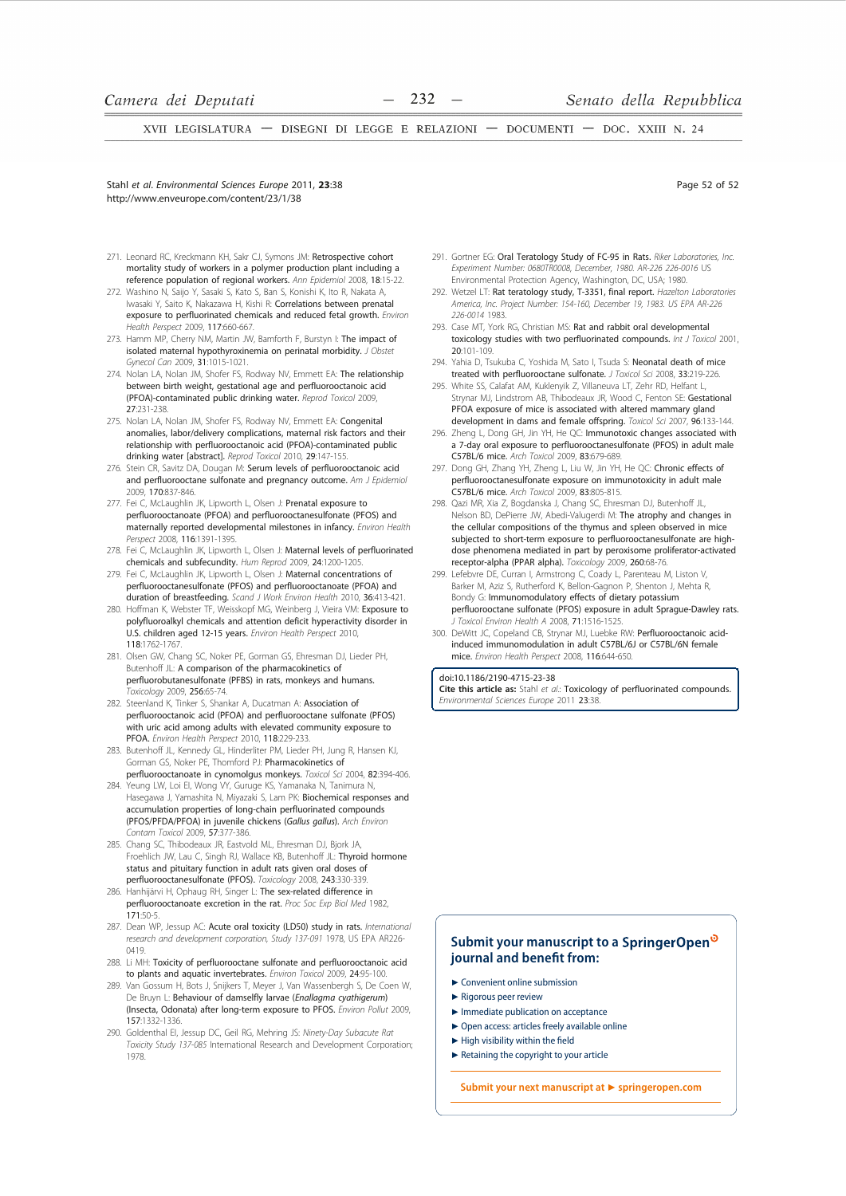Stahl et al. Environmental Sciences Europe 2011. 23:38 http://www.enveurope.com/content/23/1/38

- 271. Leonard RC, Kreckmann KH, Sakr CJ, Symons JM: Retrospective cohort mortality study of workers in a polymer production plant including a reference population of regional workers. Ann Epidemiol 2008, 18:15-22.
- 272. Washino N. Saijo Y. Sasaki S. Kato S. Ban S. Konishi K. Ito R. Nakata A. Iwasaki Y, Saito K, Nakazawa H, Kishi R: Correlations between prenatal exposure to perfluorinated chemicals and reduced fetal growth. Environ Health Perspect 2009, 117:660-667
- 273. Hamm MP, Cherry NM, Martin JW, Bamforth F, Burstyn I: The impact of isolated maternal hypothyroxinemia on perinatal morbidity. J Obstet Gynecol Can 2009, 31:1015-1021.
- 274. Nolan LA, Nolan JM, Shofer FS, Rodway NV, Emmett EA: The relationship between birth weight, gestational age and perfluorooctanoic acid (PFOA)-contaminated public drinking water. Reprod Toxicol 2009, 27:231-238.
- 275. Nolan LA, Nolan JM, Shofer FS, Rodway NV, Emmett EA: Congenital anomalies, labor/delivery complications, maternal risk factors and their relationship with perfluorooctanoic acid (PFOA)-contaminated public drinking water [abstract]. Reprod Toxicol 2010, 29:147-155.
- 276. Stein CR, Savitz DA, Dougan M: Serum levels of perfluorooctanoic acid and perfluorooctane sulfonate and pregnancy outcome. Am J Epidemiol 2009, 170:837-846.
- 277. Fei C. McLaughlin, JK. Lipworth L. Olsen, J: Prenatal exposure to perfluorooctanoate (PFOA) and perfluorooctanesulfonate (PFOS) and maternally reported developmental milestones in infancy. Environ Health Perspect 2008, 116:1391-1395.
- 278. Fei C, McLaughlin JK, Lipworth L, Olsen J: Maternal levels of perfluorinated chemicals and subfecundity. Hum Reprod 2009, 24:1200-1205
- Fei C, McLaughlin JK, Lipworth L, Olsen J: Maternal concentrations of perfluorooctanesulfonate (PFOS) and perfluorooctanoate (PFOA) and duration of breastfeeding. Scand J Work Environ Health 2010, 36:413-421. 280. Hoffman K, Webster TF, Weisskopf MG, Weinberg J, Vieira VM: Exposure to
- polyfluoroalkyl chemicals and attention deficit hyperactivity disorder in U.S. children aged 12-15 years. Environ Health Perspect 2010, 118:1762-1767
- 281. Olsen GW, Chang SC, Noker PE, Gorman GS, Ehresman DJ, Lieder PH, Butenhoff JL: A comparison of the pharmacokinetics of perfluorobutanesulfonate (PFBS) in rats, monkeys and humans. Toxicology 2009, 256:65-74.
- 282. Steenland K, Tinker S, Shankar A, Ducatman A: Association of perfluorooctanoic acid (PFOA) and perfluorooctane sulfonate (PFOS) with uric acid among adults with elevated community exposure to PFOA. Environ Health Perspect 2010, 118:229-233.
- 283. Butenhoff JL, Kennedy GL, Hinderliter PM, Lieder PH, Jung R, Hansen KJ. Gorman GS, Noker PE, Thomford PJ: Pharmacokinetics of perfluorooctanoate in cynomolgus monkeys. Toxicol Sci 2004, 82:394-406.
- 284. Yeung LW, Loi El, Wong VY, Guruge KS, Yamanaka N, Tanimura N, Hasegawa J, Yamashita N, Miyazaki S, Lam PK: Biochemical responses and accumulation properties of long-chain perfluorinated compounds (PFOS/PFDA/PFOA) in juvenile chickens (Gallus gallus). Arch Environ .<br>Contam Toxicol 2009, 57:377-386.
- 285. Chang SC, Thibodeaux JR, Eastvold ML, Ehresman DJ, Bjork JA, Froehlich JW, Lau C, Singh RJ, Wallace KB, Butenhoff JL: Thyroid hormone status and pituitary function in adult rats given oral doses of perfluorooctanesulfonate (PFOS). Toxicology 2008, 243:330-339.
- 286. Hanhijärvi H, Ophaug RH, Singer L: The sex-related difference in perfluorooctanoate excretion in the rat. Proc Soc Exp Biol Med 1982,  $171 - 50 - 5$
- 287. Dean WP, Jessup AC: Acute oral toxicity (LD50) study in rats. International research and development corporation, Study 137-091 1978, US EPA AR226- $0419$
- 288. Li MH: Toxicity of perfluorooctane sulfonate and perfluorooctanoic acid to plants and aquatic invertebrates. *Environ Toxicol* 2009, 24:95-100
- 289. Van Gossum H. Bots J. Snijkers T. Mever J. Van Wassenbergh S. De Coen W. De Bruyn L: Behaviour of damselfly larvae (Enallagma cyathigerum) (Insecta, Odonata) after long-term exposure to PFOS. Environ Pollut 2009, 157:1332-1336.
- 290. Goldenthal El, Jessup DC, Geil RG, Mehring JS: Ninety-Day Subacute Rat Toxicity Study 137-085 International Research and Development Corporation; 1978
- 291. Gortner EG: Oral Teratology Study of FC-95 in Rats. Riker Laboratories, Inc. Experiment Number: 0680TR0008, December, 1980, AR-226 226-0016 US Environmental Protection Agency, Washington, DC, USA; 1980.
- 292. Wetzel LT: Rat teratology study. T-3351. final report. Hazelton Laboratories America, Inc. Project Number: 154-160, December 19, 1983. US EPA AR-226 226-0014 1983
- 293. Case MT, York RG, Christian MS: Rat and rabbit oral developmental toxicology studies with two perfluorinated compounds. Int J Toxicol 2001. 20:101-109
- 294. Yahia D, Tsukuba C, Yoshida M, Sato I, Tsuda S: Neonatal death of mice treated with perfluorooctane sulfonate. J Toxicol Sci 2008, 33:219-226.
- 295. White SS, Calafat AM, Kuklenyik Z, Villaneuva LT, Zehr RD, Helfant L, Strynar MJ, Lindstrom AB, Thibodeaux JR, Wood C, Fenton SE: Gestational PFOA exposure of mice is associated with altered mammary gland development in dams and female offspring. Toxicol Sci 2007, 96:133-144.
- 296. Zheng L, Dong GH, Jin YH, He QC: Immunotoxic changes associated with a 7-day oral exposure to perfluorooctanesulfonate (PFOS) in adult male C57BL/6 mice. Arch Toxicol 2009, 83:679-689.
- 297. Dong GH, Zhang YH, Zheng L, Liu W, Jin YH, He QC: Chronic effects of perfluorooctanesulfonate exposure on immunotoxicity in adult male C57BL/6 mice. Arch Toxicol 2009. 83:805-815.
- 298. Qazi MR, Xia Z, Bogdanska J, Chang SC, Ehresman DJ, Butenhoff JL, Nelson BD. DePierre JW. Abedi-Valugerdi M: The atrophy and changes in the cellular compositions of the thymus and spleen observed in mice subjected to short-term exposure to perfluorooctanesulfonate are highdose phenomena mediated in part by peroxisome proliferator-activated receptor-alpha (PPAR alpha). Toxicology 2009, 260:68-76.
- 299 Lefebvre DE, Curran I, Armstrong C, Coady L, Parenteau M, Liston V Barker M, Aziz S, Rutherford K, Bellon-Gagnon P, Shenton J, Mehta R, Bondy G: Immunomodulatory effects of dietary potassium perfluorooctane sulfonate (PFOS) exposure in adult Sprague-Dawley rats. Toxicol Environ Health A 2008, 71:1516-1525.
- 300. DeWitt JC, Copeland CB, Strynar MJ, Luebke RW: Perfluorooctanoic acidinduced immunomodulation in adult C57BL/6J or C57BL/6N female mice. Environ Health Perspect 2008, 116:644-650.

## doi:10.1186/2190-4715-23-38

Cite this article as: Stahl et al.: Toxicology of perfluorinated compounds. Environmental Sciences Europe 2011 23:38

# Submit your manuscript to a SpringerOpen<sup>®</sup> journal and benefit from:

- $\blacktriangleright$  Convenient online submission
- $\blacktriangleright$  Rigorous peer review
- Immediate publication on acceptance
- ► Open access: articles freely available online
- $\blacktriangleright$  High visibility within the field
- Retaining the copyright to your article

Submit your next manuscript at ▶ springeropen.com

Page 52 of 52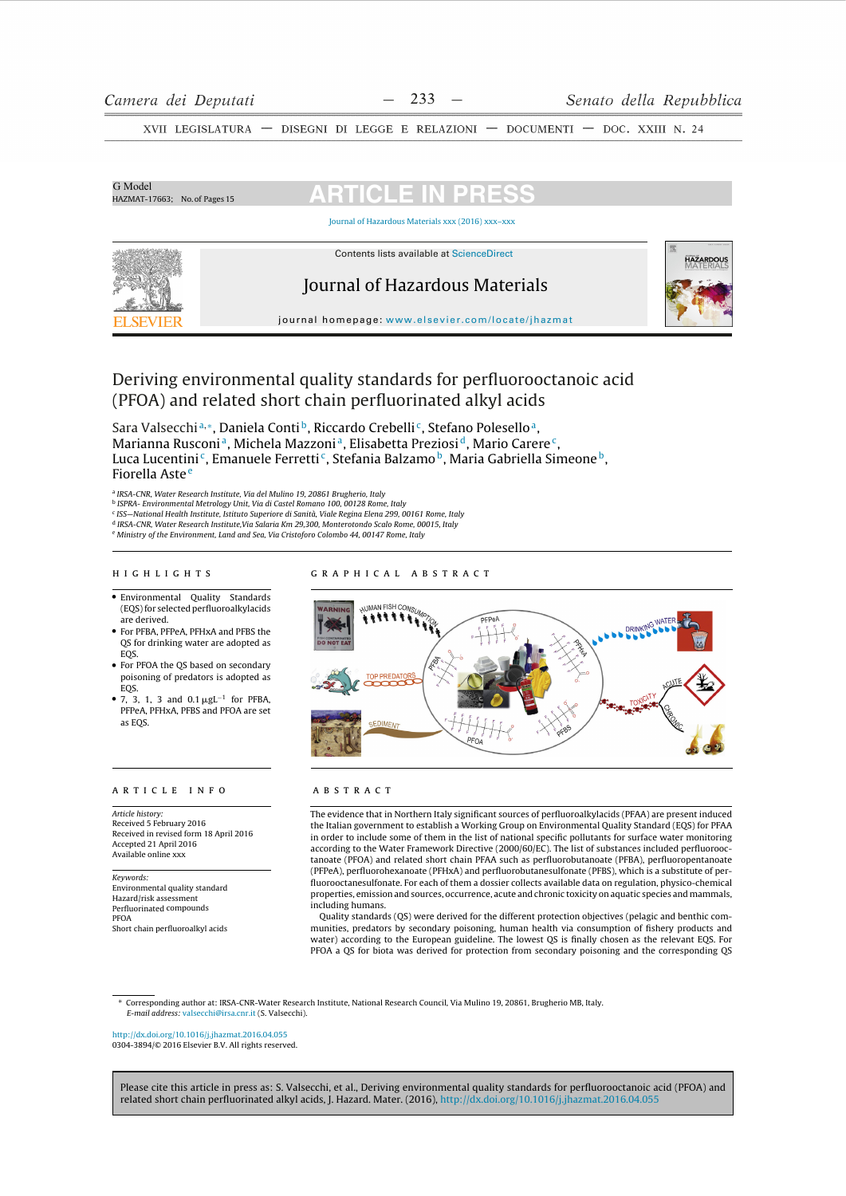| G Model<br>HAZMAT-17663; No. of Pages 15 | <b>ARTICLE IN PRESS</b>                           |                  |
|------------------------------------------|---------------------------------------------------|------------------|
|                                          | Journal of Hazardous Materials xxx (2016) xxx-xxx |                  |
|                                          | Contents lists available at ScienceDirect         | <b>HAZARDOUS</b> |
|                                          | Journal of Hazardous Materials                    |                  |
| ELSEVIEE                                 | journal homepage: www.elsevier.com/locate/jhazmat |                  |

# Deriving environmental quality standards for perfluorooctanoic acid (PFOA) and related short chain perfluorinated alkyl acids

Sara Valsecchia,\*, Daniela Conti<sup>b</sup>, Riccardo Crebelli<sup>c</sup>, Stefano Polesello<sup>a</sup>, Marianna Rusconi<sup>a</sup>, Michela Mazzoni<sup>a</sup>, Elisabetta Preziosi<sup>d</sup>, Mario Carere<sup>c</sup>, Luca Lucentini<sup>c</sup>, Emanuele Ferretti<sup>c</sup>, Stefania Balzamo<sup>b</sup>, Maria Gabriella Simeone<sup>b</sup>, Fiorella Aste<sup>e</sup>

<sup>a</sup> IRSA-CNR, Water Research Institute, Via del Mulino 19, 20861 Brugherio, Italy

nasa cui, vuela nel catala instituito, vuela Catalana e 12, 2000 i suggiorio, italy<br><sup>b</sup> ISPRA- Environmental Metrology Unit, Via di Castel Romano 100, 00128 Rome, Italy<br><sup>d</sup> IRSA-CNR, Water Research Institute, Via Salaria K

e Ministry of the Environment, Land and Sea, Via Cristoforo Colombo 44, 00147 Rome, Italy

# HIGHLIGHTS

- · Environmental Quality Standards (EQS) for selected perfluoroalkylacids hevireh ere
- For PFBA, PFPeA, PFHxA and PFBS the QS for drinking water are adopted as EQS.
- For PFOA the OS based on secondary poisoning of predators is adopted as  $EOS$
- 7, 3, 1, 3 and  $0.1 \mu g L^{-1}$  for PFBA, PFPeA, PFHxA, PFBS and PFOA are set as EOS.

## ARTICLE INFO

Article history: Received 5 February 2016 Received in revised form 18 April 2016 Accepted 21 April 2016 Available online xxx

## Keywords:

Environmental quality standard Hazard/risk assessment Perfluorinated compounds PFOA Short chain perfluoroalkyl acids

## GRAPHICAL ABSTRACT



# **ABSTRACT**

The evidence that in Northern Italy significant sources of perfluoroalkylacids (PFAA) are present induced the Italian government to establish a Working Group on Environmental Quality Standard (EQS) for PFAA in order to include some of them in the list of national specific pollutants for surface water monitoring according to the Water Framework Directive (2000/60/EC). The list of substances included perfluorooctanoate (PFOA) and related short chain PFAA such as perfluorobutanoate (PFBA), perfluoropentanoate (PFPeA), perfluorohexanoate (PFHxA) and perfluorobutanesulfonate (PFBS), which is a substitute of perfluorooctanesulfonate. For each of them a dossier collects available data on regulation, physico-chemical properties, emission and sources, occurrence, acute and chronic toxicity on aquatic species and mammals, including humans.

Quality standards (QS) were derived for the different protection objectives (pelagic and benthic communities, predators by secondary poisoning, human health via consumption of fishery products and water) according to the European guideline. The lowest QS is finally chosen as the relevant EQS. For PFOA a QS for biota was derived for protection from secondary poisoning and the corresponding QS

\* Corresponding author at: IRSA-CNR-Water Research Institute National Research Council Via Mulino 19, 20861 Brugherio MB Italy E-mail address: valsecchi@irsa.cnr.it (S. Valsecchi).

#### http://dx.doi.org/10.1016/i.jhazmat.2016.04.055 0304-3894/© 2016 Elsevier B.V. All rights reserved.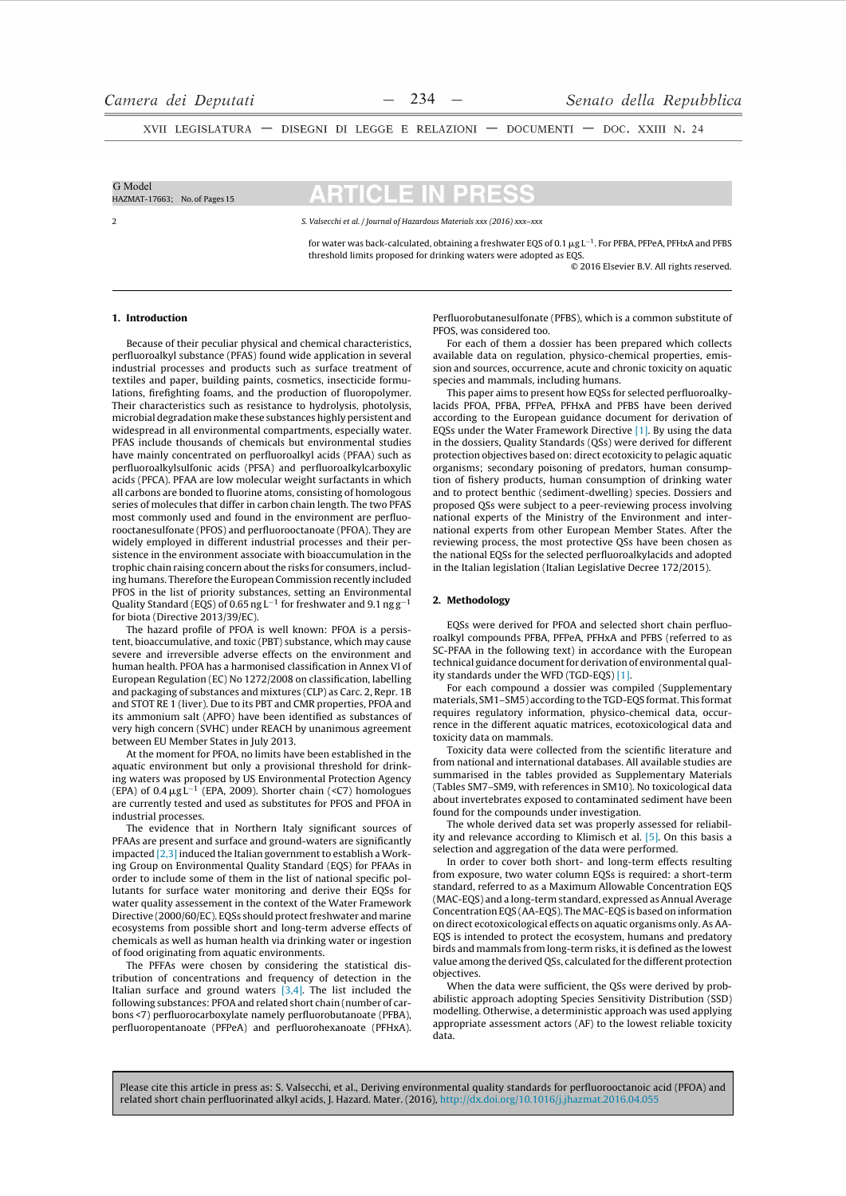| G Model<br>HAZMAT-17663; No. of Pages 15 | <b>ARTICLE IN PRESS</b>                                                                                                                                                                                                                       |
|------------------------------------------|-----------------------------------------------------------------------------------------------------------------------------------------------------------------------------------------------------------------------------------------------|
|                                          | S. Valsecchi et al. / Journal of Hazardous Materials xxx (2016) xxx-xxx                                                                                                                                                                       |
|                                          | for water was back-calculated, obtaining a freshwater EQS of 0.1 $\mu$ g L <sup>-1</sup> . For PFBA, PFPeA, PFHxA and PFBS<br>threshold limits proposed for drinking waters were adopted as EQS.<br>© 2016 Elsevier B.V. All rights reserved. |

### 1. Introduction

Because of their peculiar physical and chemical characteristics. perfluoroalkyl substance (PFAS) found wide application in several industrial processes and products such as surface treatment of textiles and paper, building paints, cosmetics, insecticide formulations, firefighting foams, and the production of fluoropolymer. Their characteristics such as resistance to hydrolysis, photolysis, microbial degradation make these substances highly persistent and widespread in all environmental compartments, especially water. PFAS include thousands of chemicals but environmental studies have mainly concentrated on perfluoroalkyl acids (PFAA) such as perfluoroalkylsulfonic acids (PFSA) and perfluoroalkylcarboxylic acids (PFCA). PFAA are low molecular weight surfactants in which all carbons are bonded to fluorine atoms, consisting of homologous series of molecules that differ in carbon chain length. The two PFAS most commonly used and found in the environment are perfluorooctanesulfonate (PFOS) and perfluorooctanoate (PFOA). They are widely employed in different industrial processes and their persistence in the environment associate with bioaccumulation in the trophic chain raising concern about the risks for consumers, including humans. Therefore the European Commission recently included PFOS in the list of priority substances, setting an Environmental Quality Standard (EQS) of 0.65 ng  $L^{-1}$  for freshwater and 9.1 ng  $g^{-1}$ for biota (Directive 2013/39/EC).

The hazard profile of PFOA is well known: PFOA is a persistent, bioaccumulative, and toxic (PBT) substance, which may cause severe and irreversible adverse effects on the environment and human health. PFOA has a harmonised classification in Annex VI of European Regulation (EC) No 1272/2008 on classification, labelling and packaging of substances and mixtures (CLP) as Carc. 2, Repr. 1B and STOT RE 1 (liver). Due to its PBT and CMR properties, PFOA and its ammonium salt (APFO) have been identified as substances of very high concern (SVHC) under REACH by unanimous agreement between EU Member States in July 2013.

At the moment for PFOA, no limits have been established in the aquatic environment but only a provisional threshold for drinking waters was proposed by US Environmental Protection Agency (EPA) of  $0.4 \mu g L^{-1}$  (EPA, 2009). Shorter chain (<C7) homologues are currently tested and used as substitutes for PFOS and PFOA in industrial processes.

The evidence that in Northern Italy significant sources of PFAAs are present and surface and ground-waters are significantly impacted [2.3] induced the Italian government to establish a Working Group on Environmental Ouality Standard (EOS) for PFAAs in order to include some of them in the list of national specific pollutants for surface water monitoring and derive their EQSs for water quality assessement in the context of the Water Framework Directive (2000/60/EC). EQSs should protect freshwater and marine ecosystems from possible short and long-term adverse effects of chemicals as well as human health via drinking water or ingestion of food originating from aquatic environments.

The PFFAs were chosen by considering the statistical distribution of concentrations and frequency of detection in the Italian surface and ground waters  $[3,4]$ . The list included the following substances: PFOA and related short chain (number of carbons <7) perfluorocarboxylate namely perfluorobutanoate (PFBA), perfluoropentanoate (PFPeA) and perfluorohexanoate (PFHxA).

Perfluorobutanesulfonate (PFBS), which is a common substitute of PFOS, was considered too.

For each of them a dossier has been prepared which collects available data on regulation, physico-chemical properties, emission and sources, occurrence, acute and chronic toxicity on aquatic species and mammals, including humans.

This paper aims to present how EQSs for selected perfluoroalkylacids PFOA, PFBA, PFPeA, PFHxA and PFBS have been derived according to the European guidance document for derivation of EQSs under the Water Framework Directive [1]. By using the data in the dossiers, Quality Standards (QSs) were derived for different protection objectives based on: direct ecotoxicity to pelagic aquatic organisms; secondary poisoning of predators, human consumption of fishery products, human consumption of drinking water and to protect benthic (sediment-dwelling) species. Dossiers and proposed QSs were subject to a peer-reviewing process involving national experts of the Ministry of the Environment and international experts from other European Member States. After the reviewing process, the most protective OSs have been chosen as the national EOSs for the selected perfluoroalkylacids and adopted in the Italian legislation (Italian Legislative Decree 172/2015).

#### 2. Methodology

EQSs were derived for PFOA and selected short chain perfluoroalkyl compounds PFBA, PFPeA, PFHxA and PFBS (referred to as SC-PFAA in the following text) in accordance with the European technical guidance document for derivation of environmental quality standards under the WFD (TGD-EOS) [1].

For each compound a dossier was compiled (Supplementary materials, SM1-SM5) according to the TGD-EQS format. This format requires regulatory information, physico-chemical data, occurrence in the different aquatic matrices, ecotoxicological data and toxicity data on mammals.

Toxicity data were collected from the scientific literature and from national and international databases. All available studies are summarised in the tables provided as Supplementary Materials (Tables SM7-SM9, with references in SM10). No toxicological data about invertebrates exposed to contaminated sediment have been found for the compounds under investigation.

The whole derived data set was properly assessed for reliability and relevance according to Klimisch et al. [5]. On this basis a selection and aggregation of the data were performed.

In order to cover both short- and long-term effects resulting from exposure, two water column EOSs is required: a short-term standard, referred to as a Maximum Allowable Concentration EOS (MAC-EQS) and a long-term standard, expressed as Annual Average Concentration EQS (AA-EQS). The MAC-EQS is based on information on direct ecotoxicological effects on aquatic organisms only. As AA-EQS is intended to protect the ecosystem, humans and predatory birds and mammals from long-term risks, it is defined as the lowest value among the derived OSs, calculated for the different protection objectives.

When the data were sufficient, the QSs were derived by probabilistic approach adopting Species Sensitivity Distribution (SSD) modelling. Otherwise, a deterministic approach was used applying appropriate assessment actors (AF) to the lowest reliable toxicity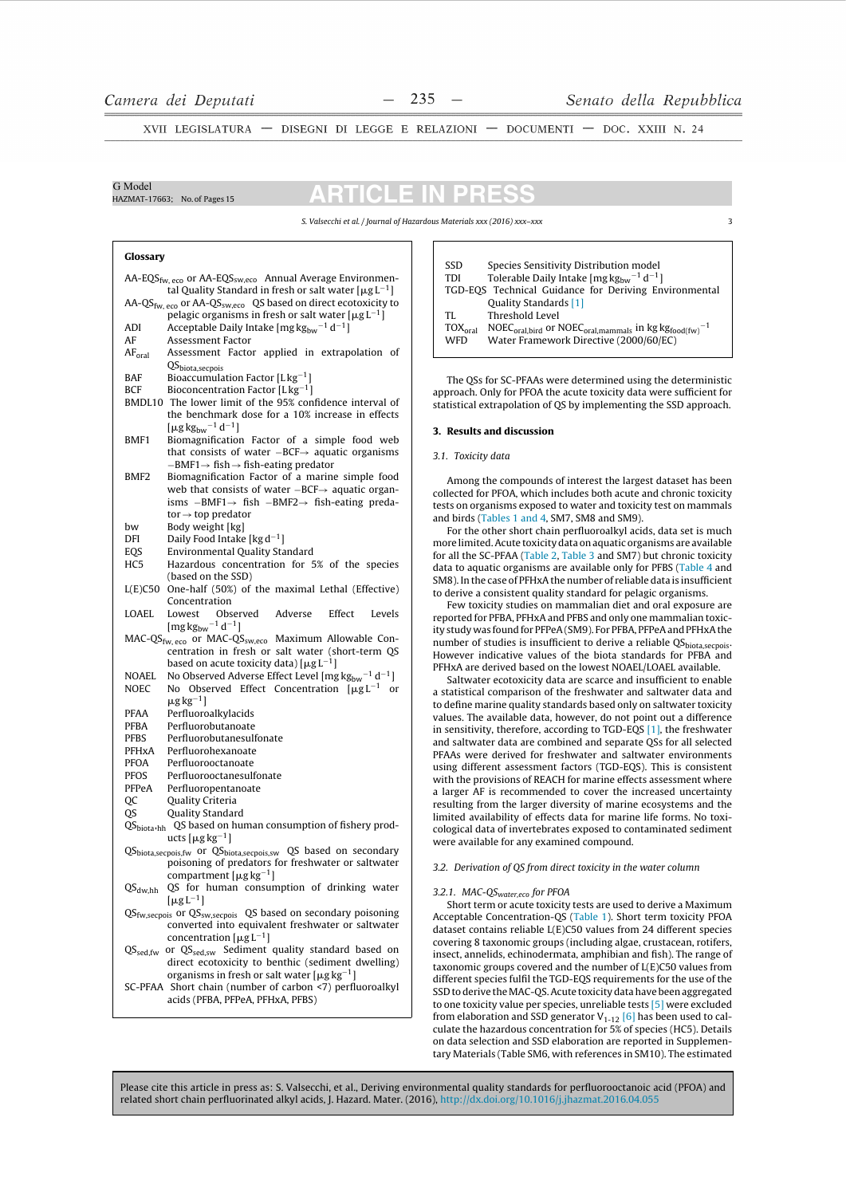G Model

HAZMAT-17663: No. of Pages 15

31 ICLE I IN PI п

S. Valsecchi et al. / Journal of Hazardous Materials xxx (2016) xxx-xxx

## Glossary

AA-EQS<sub>fw, eco</sub> or AA-EQS<sub>sw,eco</sub> Annual Average Environmental Quality Standard in fresh or salt water  $[\mu g L^{-1}]$ AA-QS<sub>fw, eco</sub> or AA-QS<sub>sw,eco</sub> QS based on direct ecotoxicity to pelagic organisms in fresh or salt water  $[\mu g L^{-1}]$ **ADI** Acceptable Daily Intake [mg  $\text{kg}_{\text{bw}}^{-1}$  d<sup>-1</sup>] **Assessment Factor** AF  $AF<sub>oral</sub>$ Assessment Factor applied in extrapolation of QS<sub>biota,secpois</sub> **BAF** Bioaccumulation Factor [ $Lkg^{-1}$ ] **BCF** Bioconcentration Factor  $[Lkg^{-1}]$ BMDL10 The lower limit of the 95% confidence interval of the benchmark dose for a 10% increase in effects [ $\mu$ g kg<sub>bw</sub><sup>-1</sup> d<sup>-1</sup>] Biomagnification Factor of a simple food web **BMF1** that consists of water  $-BCF \rightarrow$  aquatic organisms  $-BMF1 \rightarrow fish \rightarrow fish-eating predator$ BMF<sub>2</sub> Biomagnification Factor of a marine simple food web that consists of water  $-BCF \rightarrow$  aquatic organisms -BMF1 $\rightarrow$  fish -BMF2 $\rightarrow$  fish-eating predator  $\rightarrow$  top predator bw Body weight [kg] Daily Food Intake [ $kg d^{-1}$ ] **DFI Environmental Quality Standard EOS**  $HC<sub>5</sub>$ Hazardous concentration for 5% of the species (based on the SSD)  $L(E)$ C50 One-half (50%) of the maximal Lethal (Effective) Concentration **LOAEL** Lowest Observed Adverse Effect Levels  $[\text{mg}\,\text{kg}_{\text{bw}}^{-1}\,\text{d}^{-1}]$ MAC-QS<sub>fw, eco</sub> or MAC-QS<sub>sw, eco</sub> Maximum Allowable Concentration in fresh or salt water (short-term OS based on acute toxicity data)  $[\mu g L^{-1}]$ No Observed Adverse Effect Level [mg  $\text{kg}_{\text{bw}}$ <sup>-1</sup> d<sup>-1</sup>] **NOAFL**  $\sf NOEC$ No Observed Effect Concentration  $[\mu g L^{-1}$  or  $\mu$ g kg<sup>-1</sup>] Perfluoroalkylacids PFAA PFBA Perfluorobutanoate **PFBS** Perfluorobutanesulfonate PFHxA Perfluorohexanoate PFOA Perfluorooctanoate **PFOS** Perfluorooctanesulfonate PFPeA Perfluoropentanoate **OC Quality Criteria**  $\overline{OS}$ Quality Standard QS<sub>biota</sub>,hh QS based on human consumption of fishery products  $\lceil \mu g \log^{-1} \rceil$ QS<sub>biota,secpois,fw</sub> or QS<sub>biota,secpois,sw</sub> QS based on secondary poisoning of predators for freshwater or saltwater compartment [ $\mu$ g kg<sup>-1</sup>]  $\text{QS}_{\text{dw,hh}}$ QS for human consumption of drinking water  $[\mu g\,L^{-1}]$  $QS_{fw, seepois}$  or  $QS_{sw, seepois}$  QS based on secondary poisoning converted into equivalent freshwater or saltwater concentration  $[\mu\rm{g}\,L^{-1}]$  $QS_{\text{sed,fw}}$  or  $QS_{\text{sed,sw}}$  Sediment quality standard based on direct ecotoxicity to benthic (sediment dwelling) organisms in fresh or salt water [ $\mu$ g kg<sup>-1</sup>] SC-PFAA Short chain (number of carbon <7) perfluoroalkyl acids (PFBA, PFPeA, PFHxA, PFBS)

SSD Species Sensitivity Distribution model TDI Tolerable Daily Intake [ $mg\,kg_{bw}^{-1}$  d<sup>-1</sup>] TGD-EQS Technical Guidance for Deriving Environmental Quality Standards [1] TI. Threshold Level  $\overline{\text{TOX}}_{\text{oral}}$  $\mathsf{NOEC}_{\mathsf{oral}, \mathsf{bird}}$  or  $\mathsf{NOEC}_{\mathsf{oral}, \mathsf{mammals}}$  in  $\mathsf{kg}\,\mathsf{kg}_{\mathsf{food}(\mathsf{fw})}{}^{-1}$ **WFD** Water Framework Directive (2000/60/EC)

The OSs for SC-PFAAs were determined using the deterministic approach. Only for PFOA the acute toxicity data were sufficient for statistical extrapolation of QS by implementing the SSD approach.

## 3. Results and discussion

## 3.1. Toxicity data

Among the compounds of interest the largest dataset has been collected for PFOA, which includes both acute and chronic toxicity tests on organisms exposed to water and toxicity test on mammals and birds (Tables 1 and 4, SM7, SM8 and SM9).

For the other short chain perfluoroalkyl acids, data set is much more limited. Acute toxicity data on aquatic organisms are available for all the SC-PFAA (Table 2, Table 3 and SM7) but chronic toxicity data to aquatic organisms are available only for PFBS (Table 4 and SM8). In the case of PFHxA the number of reliable data is insufficient to derive a consistent quality standard for pelagic organisms.

Few toxicity studies on mammalian diet and oral exposure are reported for PFBA, PFHxA and PFBS and only one mammalian toxicity study was found for PFPeA (SM9). For PFBA, PFPeA and PFHxA the number of studies is insufficient to derive a reliable QS<sub>biota, secpois</sub>. However indicative values of the biota standards for PFBA and PFHxA are derived based on the lowest NOAEL/LOAEL available.

Saltwater ecotoxicity data are scarce and insufficient to enable a statistical comparison of the freshwater and saltwater data and to define marine quality standards based only on saltwater toxicity values. The available data, however, do not point out a difference in sensitivity, therefore, according to  $TGD$ -EQS  $[1]$ , the freshwater and saltwater data are combined and senarate OSs for all selected PFAAs were derived for freshwater and saltwater environments using different assessment factors (TGD-EQS). This is consistent with the provisions of REACH for marine effects assessment where a larger AF is recommended to cover the increased uncertainty resulting from the larger diversity of marine ecosystems and the limited availability of effects data for marine life forms. No toxicological data of invertebrates exposed to contaminated sediment were available for any examined compound.

### 3.2. Derivation of QS from direct toxicity in the water column

## 3.2.1. MAC-QSwater,eco for PFOA

Short term or acute toxicity tests are used to derive a Maximum Acceptable Concentration-QS (Table 1). Short term toxicity PFOA dataset contains reliable  $L(E)$ C50 values from 24 different species covering 8 taxonomic groups (including algae, crustacean, rotifers, insect, annelids, echinodermata, amphibian and fish). The range of taxonomic groups covered and the number of L(E)C50 values from different species fulfil the TGD-EQS requirements for the use of the SSD to derive the MAC-QS. Acute toxicity data have been aggregated to one toxicity value per species, unreliable tests [5] were excluded from elaboration and SSD generator  $V_{1-12}$  [6] has been used to calculate the hazardous concentration for 5% of species (HC5). Details on data selection and SSD elaboration are reported in Supplementary Materials (Table SM6, with references in SM10). The estimated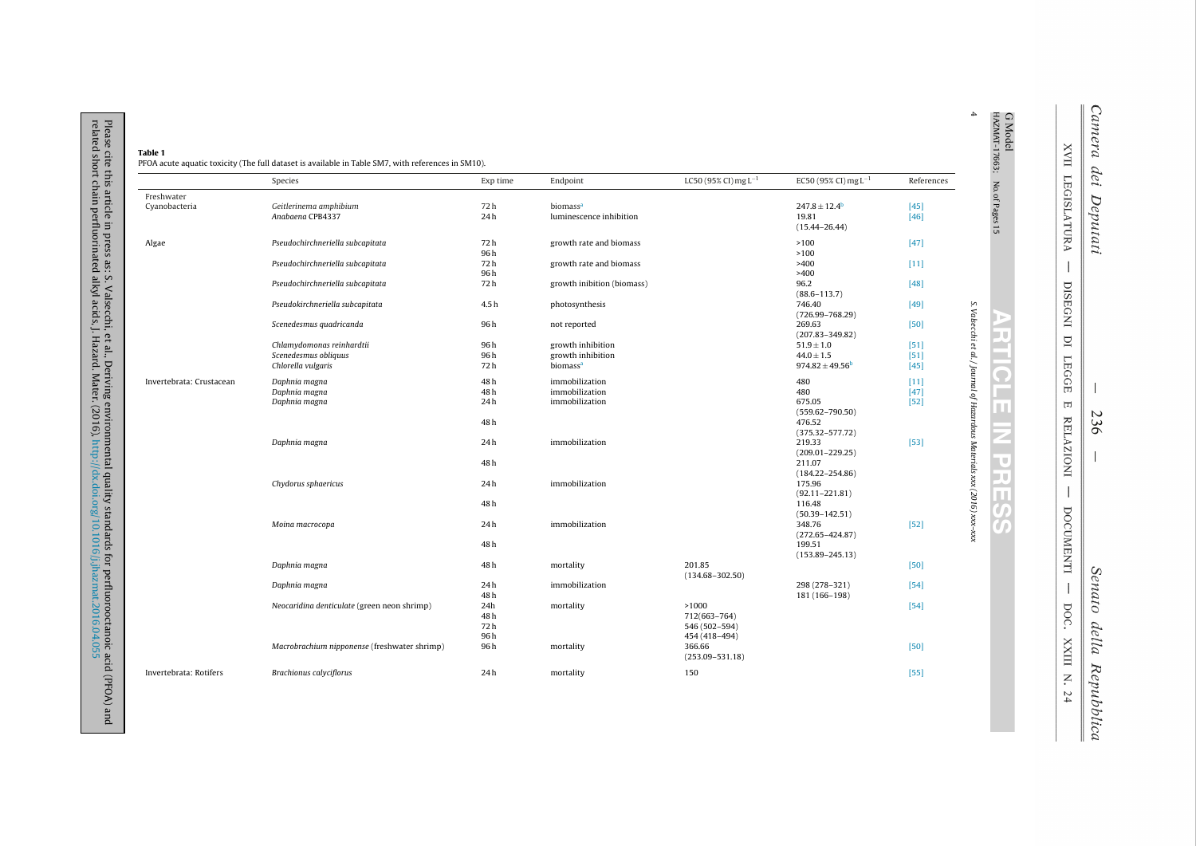|                          | Species                                      | Exp time          | Endpoint                   | LC50 (95% CI) mg $L^{-1}$                      | EC50 (95% CI) mg $L^{-1}$      | References |                                                                         |
|--------------------------|----------------------------------------------|-------------------|----------------------------|------------------------------------------------|--------------------------------|------------|-------------------------------------------------------------------------|
| Freshwater               |                                              |                   |                            |                                                |                                |            |                                                                         |
| Cyanobacteria            | Geitlerinema amphibium                       | 72h               | biomass <sup>a</sup>       |                                                | $247.8 \pm 12.4$               | $[45]$     |                                                                         |
|                          | Anabaena CPB4337                             | 24h               | luminescence inhibition    |                                                | 19.81<br>$(15.44 - 26.44)$     | $[46]$     | G Model<br>HAZMAT-17663; No.of Pages 15                                 |
| Algae                    | Pseudochirchneriella subcapitata             | 72h               | growth rate and biomass    |                                                | >100                           | $[47]$     |                                                                         |
|                          |                                              | 96h               |                            |                                                | >100                           |            |                                                                         |
|                          | Pseudochirchneriella subcapitata             | 72h               | growth rate and biomass    |                                                | >400                           | $[11]$     |                                                                         |
|                          |                                              | 96h               |                            |                                                | >400                           |            |                                                                         |
|                          | Pseudochirchneriella subcapitata             | 72 h              | growth inibition (biomass) |                                                | 96.2<br>$(88.6 - 113.7)$       | $[48]$     |                                                                         |
|                          | Pseudokirchneriella subcapitata              | 4.5h              | photosynthesis             |                                                | 746.40<br>$(726.99 - 768.29)$  | $[49]$     |                                                                         |
|                          | Scenedesmus quadricanda                      | 96h               | not reported               |                                                | 269.63<br>$(207.83 - 349.82)$  | $[50]$     |                                                                         |
|                          | Chlamydomonas reinhardtii                    | 96h               | growth inhibition          |                                                | $51.9 \pm 1.0$                 | [51]       |                                                                         |
|                          | Scenedesmus obliquus                         | 96h               | growth inhibition          |                                                | $44.0 \pm 1.5$                 | [51]       |                                                                         |
|                          | Chlorella vulgaris                           | 72h               | biomass <sup>a</sup>       |                                                | $974.82 \pm 49.56^b$           | $[45]$     |                                                                         |
| Invertebrata: Crustacean | Daphnia magna                                | 48h               | immobilization             |                                                | 480                            | $[11]$     |                                                                         |
|                          | Daphnia magna                                | 48h               | immobilization             |                                                | 480                            | $[47]$     |                                                                         |
|                          | Daphnia magna                                | 24h               | immobilization             |                                                | 675.05<br>$(559.62 - 790.50)$  | $[52]$     | S. Valsecchi et al. / Journal of Hazardous Materials xxx (2016) xxx-xxx |
|                          |                                              | 48h               |                            |                                                | 476.52<br>$(375.32 - 577.72)$  |            |                                                                         |
|                          | Daphnia magna                                | 24h               | immobilization             |                                                | 219.33<br>$(209.01 - 229.25)$  | $[53]$     |                                                                         |
|                          |                                              | 48h               |                            |                                                | 211.07<br>$(184.22 - 254.86)$  |            |                                                                         |
|                          | Chydorus sphaericus                          | 24h               | immobilization             |                                                | 175.96<br>$(92.11 - 221.81)$   |            |                                                                         |
|                          |                                              | 48 h              |                            |                                                | 116.48<br>$(50.39 - 142.51)$   |            |                                                                         |
|                          | Moina macrocopa                              | 24h               | immobilization             |                                                | 348.76<br>$(272.65 - 424.87)$  | $[52]$     |                                                                         |
|                          |                                              | 48h               |                            |                                                | 199.51<br>$(153.89 - 245.13)$  |            |                                                                         |
|                          | Daphnia magna                                | 48 h              | mortality                  | 201.85<br>$(134.68 - 302.50)$                  |                                | $[50]$     |                                                                         |
|                          | Daphnia magna                                | 24h<br>48 h       | immobilization             |                                                | 298 (278-321)<br>181 (166-198) | $[54]$     |                                                                         |
|                          | Neocaridina denticulate (green neon shrimp)  | 24h<br>48h<br>72h | mortality                  | >1000<br>712(663-764)<br>546 (502-594)         |                                | $[54]$     |                                                                         |
|                          | Macrobrachium nipponense (freshwater shrimp) | 96h<br>96h        | mortality                  | 454 (418-494)<br>366.66<br>$(253.09 - 531.18)$ |                                | $[50]$     |                                                                         |

 $\mathbf{u}$ Camera dei Deputati

**XVII LEGISLATURA** 

 $\overline{\phantom{a}}$ 

DISEGNI DI LEGGE

 $\overline{\mathbb{H}}$ 

**RELAZIONI** 

 $\overline{\phantom{a}}$ 

DOCUMENTI

 $\overline{\phantom{a}}$ 

DOC. XXIII N. 24

Ш

 $\Delta$ 

236

Senato della Repubblica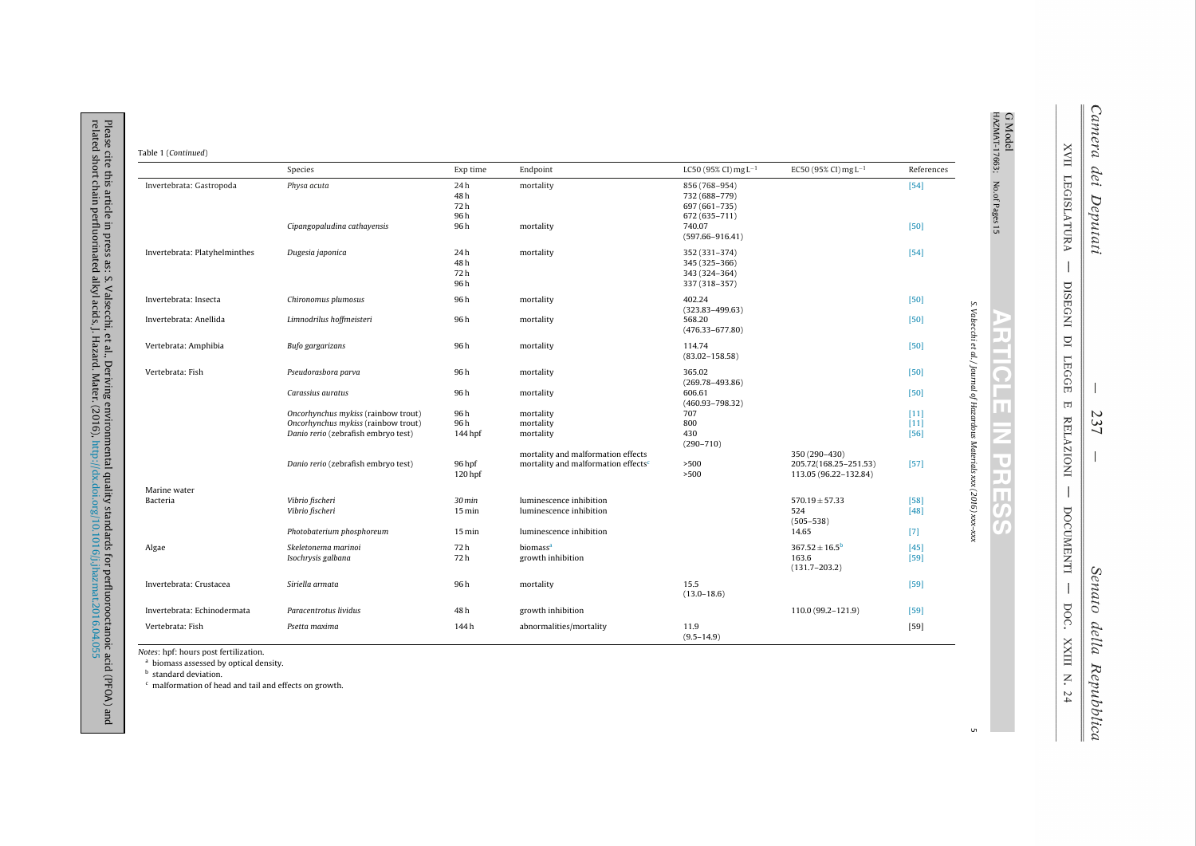| Table 1 (Continued) |
|---------------------|
|---------------------|

Please cite this article in press as: S. Valsecchi, et al., Deriving environmental quality standards for perfluorooctanoic acid (PFOA) and<br>related short chain perfluorinated alkyl acids, J. Hazard. Mater. (2016), http://dx

|                               | Species                                   | Exp time                   | Endpoint                                                                              | LC50 (95% CI) mg $L^{-1}$                                        | EC50 (95% CI) mg $L^{-1}$                                       | References       |                                                                         |
|-------------------------------|-------------------------------------------|----------------------------|---------------------------------------------------------------------------------------|------------------------------------------------------------------|-----------------------------------------------------------------|------------------|-------------------------------------------------------------------------|
| Invertebrata: Gastropoda      | Physa acuta                               | 24h<br>48 h<br>72 h<br>96h | mortality                                                                             | 856 (768-954)<br>732 (688-779)<br>697 (661-735)<br>672 (635-711) |                                                                 | $[54]$           | G Model<br>HAZMAT-17663; No.of Pages 15                                 |
|                               | Cipangopaludina cathayensis               | 96 h                       | mortality                                                                             | 740.07<br>$(597.66 - 916.41)$                                    |                                                                 | $[50]$           |                                                                         |
| Invertebrata: Platyhelminthes | Dugesia japonica                          | 24h<br>48h<br>72 h<br>96 h | mortality                                                                             | 352 (331-374)<br>345 (325-366)<br>343 (324-364)<br>337 (318-357) |                                                                 | $[54]$           |                                                                         |
| Invertebrata: Insecta         | Chironomus plumosus                       | 96 h                       | mortality                                                                             | 402.24<br>$(323.83 - 499.63)$                                    |                                                                 | $[50]$           |                                                                         |
| Invertebrata: Anellida        | Limnodrilus hoffmeisteri                  | 96 h                       | mortality                                                                             | 568.20<br>$(476.33 - 677.80)$                                    |                                                                 | $[50]$           |                                                                         |
| Vertebrata: Amphibia          | Bufo gargarizans                          | 96h                        | mortality                                                                             | 114.74<br>$(83.02 - 158.58)$                                     |                                                                 | $[50]$           |                                                                         |
| Vertebrata: Fish              | Pseudorasbora parva                       | 96h                        | mortality                                                                             | 365.02<br>$(269.78 - 493.86)$                                    |                                                                 | $[50]$           |                                                                         |
|                               | Carassius auratus                         | 96 h                       | mortality                                                                             | 606.61<br>$(460.93 - 798.32)$                                    |                                                                 | $[50]$           |                                                                         |
|                               | Oncorhynchus mykiss (rainbow trout)       | 96 h                       | mortality                                                                             | 707                                                              |                                                                 | $[11]$           |                                                                         |
|                               | Oncorhynchus mykiss (rainbow trout)       | 96 h                       | mortality                                                                             | 800                                                              |                                                                 | $[11]$           |                                                                         |
|                               | Danio rerio (zebrafish embryo test)       | 144 hpf                    | mortality                                                                             | 430<br>$(290 - 710)$                                             |                                                                 | [56]             |                                                                         |
|                               | Danio rerio (zebrafish embryo test)       | 96 hpf<br>120 hpf          | mortality and malformation effects<br>mortality and malformation effects <sup>c</sup> | >500<br>>500                                                     | 350 (290-430)<br>205.72(168.25-251.53)<br>113.05 (96.22-132.84) | $[57]$           | S. Valsecchi et al. / Journal of Hazardous Materials xxx (2016) xxx-xxx |
| Marine water                  |                                           |                            |                                                                                       |                                                                  |                                                                 |                  |                                                                         |
| Bacteria                      | Vibrio fischeri                           | 30 <sub>min</sub>          | luminescence inhibition                                                               |                                                                  | $570.19 \pm 57.33$                                              | $[58]$           |                                                                         |
|                               | Vibrio fischeri                           | $15 \,\mathrm{min}$        | luminescence inhibition                                                               |                                                                  | 524<br>$(505 - 538)$                                            | $[48]$           |                                                                         |
|                               | Photobaterium phosphoreum                 | $15 \,\mathrm{min}$        | luminescence inhibition                                                               |                                                                  | 14.65                                                           | $[7]$            |                                                                         |
| Algae                         | Skeletonema marinoi<br>Isochrysis galbana | 72 h<br>72 h               | biomass <sup>a</sup><br>growth inhibition                                             |                                                                  | $367.52 \pm 16.5^{\circ}$<br>163.6<br>$(131.7 - 203.2)$         | $[45]$<br>$[59]$ |                                                                         |
| Invertebrata: Crustacea       | Siriella armata                           | 96h                        | mortality                                                                             | 15.5<br>$(13.0 - 18.6)$                                          |                                                                 | $[59]$           |                                                                         |
| Invertebrata: Echinodermata   | Paracentrotus lividus                     | 48h                        | growth inhibition                                                                     |                                                                  | 110.0 (99.2-121.9)                                              | $[59]$           |                                                                         |
| Vertebrata: Fish              | Psetta maxima                             | 144h                       | abnormalities/mortality                                                               | 11.9<br>$(9.5 - 14.9)$                                           |                                                                 | $[59]$           |                                                                         |

Notes: hpf: hours post fertilization.

<sup>a</sup> biomass assessed by optical density.

<sup>b</sup> standard deviation.

<sup>c</sup> malformation of head and tail and effects on growth.

 $\mathsf{u}$ 

XXIII N. 24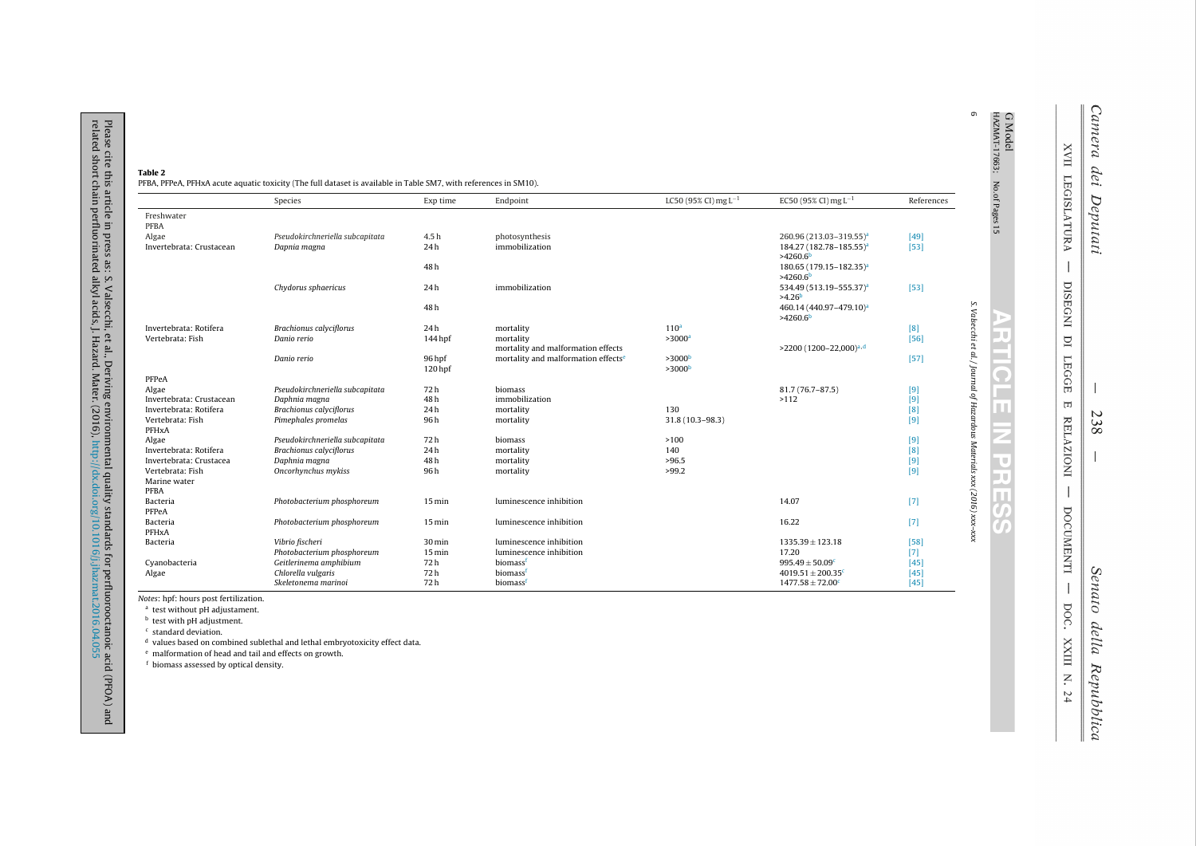| Table 2                                                                                                          |
|------------------------------------------------------------------------------------------------------------------|
| PFBA, PFPeA, PFHxA acute aquatic toxicity (The full dataset is available in Table SM7, with references in SM10). |

|                          | Species                         | Exp time            | Endpoint                                        | LC50 (95% CI) mg $L^{-1}$ | EC50 (95% CI) mg $L^{-1}$           | References |
|--------------------------|---------------------------------|---------------------|-------------------------------------------------|---------------------------|-------------------------------------|------------|
| Freshwater               |                                 |                     |                                                 |                           |                                     |            |
| PFBA                     |                                 |                     |                                                 |                           |                                     |            |
| Algae                    | Pseudokirchneriella subcapitata | 4.5h                | photosynthesis                                  |                           | 260.96 (213.03-319.55) <sup>a</sup> | $[49]$     |
| Invertebrata: Crustacean | Dapnia magna                    | 24h                 | immobilization                                  |                           | 184.27 (182.78-185.55) <sup>a</sup> | $[53]$     |
|                          |                                 |                     |                                                 |                           | $>4260.6^{\circ}$                   |            |
|                          |                                 | 48h                 |                                                 |                           | 180.65 (179.15-182.35) <sup>a</sup> |            |
|                          |                                 |                     |                                                 |                           | $>4260.6^{\circ}$                   |            |
|                          | Chydorus sphaericus             | 24h                 | immobilization                                  |                           | 534.49 (513.19-555.37) <sup>a</sup> | $[53]$     |
|                          |                                 |                     |                                                 |                           | >4.26 <sup>b</sup>                  |            |
|                          |                                 | 48h                 |                                                 |                           | 460.14 (440.97-479.10) <sup>a</sup> |            |
|                          |                                 |                     |                                                 |                           | >4260.6 <sup>b</sup>                |            |
| Invertebrata: Rotifera   | <b>Brachionus calyciflorus</b>  | 24h                 | mortality                                       | 110 <sup>a</sup>          |                                     | [8]        |
| Vertebrata: Fish         | Danio rerio                     | 144 hpf             | mortality                                       | >3000 <sup>a</sup>        |                                     | $[56]$     |
|                          |                                 |                     | mortality and malformation effects              |                           | >2200 (1200-22,000) <sup>a,d</sup>  |            |
|                          | Danio rerio                     | 96 hpf              | mortality and malformation effects <sup>e</sup> | >3000 <sup>b</sup>        |                                     | $[57]$     |
|                          |                                 | 120 hpf             |                                                 | >3000 <sup>b</sup>        |                                     |            |
| PFPeA                    |                                 |                     |                                                 |                           |                                     |            |
| Algae                    | Pseudokirchneriella subcapitata | 72h                 | biomass                                         |                           | 81.7 (76.7-87.5)                    | $[9]$      |
| Invertebrata: Crustacean | Daphnia magna                   | 48h                 | immobilization                                  |                           | >112                                | $[9]$      |
| Invertebrata: Rotifera   | <b>Brachionus calyciflorus</b>  | 24h                 | mortality                                       | 130                       |                                     | [8]        |
| Vertebrata: Fish         | Pimephales promelas             | 96 h                | mortality                                       | 31.8 (10.3-98.3)          |                                     | [9]        |
| PFHxA                    |                                 |                     |                                                 |                           |                                     |            |
| Algae                    | Pseudokirchneriella subcapitata | 72h                 | biomass                                         | >100                      |                                     | [9]        |
| Invertebrata: Rotifera   | <b>Brachionus calyciflorus</b>  | 24h                 | mortality                                       | 140                       |                                     | [8]        |
| Invertebrata: Crustacea  | Daphnia magna                   | 48h                 | mortality                                       | >96.5                     |                                     | $[9]$      |
| Vertebrata: Fish         | Oncorhynchus mykiss             | 96h                 | mortality                                       | >99.2                     |                                     | [9]        |
| Marine water             |                                 |                     |                                                 |                           |                                     |            |
| PFBA                     |                                 |                     |                                                 |                           |                                     |            |
| Bacteria                 | Photobacterium phosphoreum      | $15 \,\mathrm{min}$ | luminescence inhibition                         |                           | 14.07                               | $[7]$      |
| PFPeA                    |                                 |                     |                                                 |                           |                                     |            |
| Bacteria                 | Photobacterium phosphoreum      | $15 \text{ min}$    | luminescence inhibition                         |                           | 16.22                               | $[7]$      |
| PFHxA                    |                                 |                     |                                                 |                           |                                     |            |
| Bacteria                 | Vibrio fischeri                 | 30 min              | luminescence inhibition                         |                           | $1335.39 \pm 123.18$                | $[58]$     |
|                          | Photobacterium phosphoreum      | $15 \text{ min}$    | luminescence inhibition                         |                           | 17.20                               | $[7]$      |
| Cyanobacteria            | Geitlerinema amphibium          | 72h                 | biomassf                                        |                           | $995.49 \pm 50.09$ <sup>c</sup>     | $[45]$     |
| Algae                    | Chlorella vulgaris              | 72h                 | biomassf                                        |                           | $4019.51 \pm 200.35$ <sup>c</sup>   | $[45]$     |
|                          | Skeletonema marinoi             | 72h                 | biomassf                                        |                           | $1477.58 \pm 72.00^{\circ}$         | [45]       |

Notes: hpf: hours post fertilization.

<sup>a</sup> test without pH adjustament.

<sup>b</sup> test with pH adjustment.

<sup>c</sup> standard deviation.

Please cite this article in press as: S. Valsecchi, et al., Deriving environmental quality standards for perfluorooctanoic acid (PFOA) and<br>related short chain perfluorinated alkyl acids, J. Hazard. Mater. (2016), http://dx

<sup>d</sup> values based on combined sublethal and lethal embryotoxicity effect data.

<sup>e</sup> malformation of head and tail and effects on growth.

<sup>f</sup> biomass assessed by optical density.

XVII LEGISLATURA J DISEGNI DI **LEGGE**  $\overline{\mathbb{H}}$ **RELAZIONI** J DOCUMENTI  $\overline{\phantom{a}}$ DOC. XXIII N. 24

E lu u E e.

 $\overline{\Omega}$ п

Ш

z. n τ la p

 $\mathbb{H}$ 

 $\overline{a}$ 

 $\circ$ 

238

Senato della Repubblica

Camera dei Deputati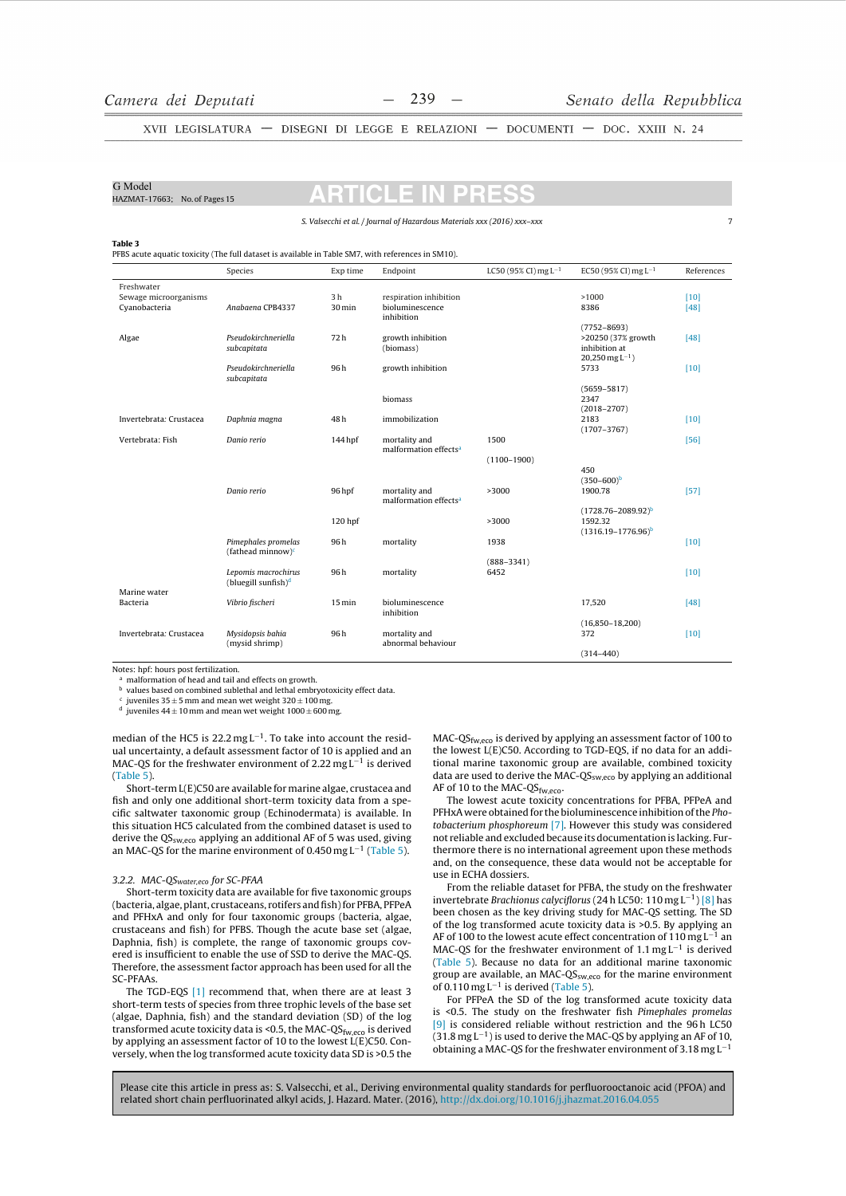$\overline{z}$ 

XVII LEGISLATURA - DISEGNI DI LEGGE E RELAZIONI - DOCUMENTI - DOC. XXIII N. 24

## G Model

HAZMAT-17663: No. of Pages 15

S. Valsecchi et al. / Journal of Hazardous Materials xxx (2016) xxx-xxx

 $\overline{\phantom{a}}$ 

Table 3

PFBS acute aquatic toxicity (The full dataset is available in Table SM7, with references in SM10).

|                                                      | Species                                                | Exp time                 | Endpoint                                                | LC50 (95% CI) mg $L^{-1}$ | EC50 (95% CI) mg $L^{-1}$                                                               | References     |
|------------------------------------------------------|--------------------------------------------------------|--------------------------|---------------------------------------------------------|---------------------------|-----------------------------------------------------------------------------------------|----------------|
| Freshwater<br>Sewage microorganisms<br>Cyanobacteria | Anabaena CPB4337                                       | 3 <sub>h</sub><br>30 min | respiration inhibition<br>bioluminescence<br>inhibition |                           | >1000<br>8386                                                                           | $[10]$<br>[48] |
| Algae                                                | Pseudokirchneriella<br>subcapitata                     | 72h                      | growth inhibition<br>(biomass)                          |                           | $(7752 - 8693)$<br>>20250 (37% growth<br>inhibition at<br>$20,250$ mg L <sup>-1</sup> ) | $[48]$         |
|                                                      | Pseudokirchneriella<br>subcapitata                     | 96h                      | growth inhibition                                       |                           | 5733                                                                                    | $[10]$         |
|                                                      |                                                        |                          | biomass                                                 |                           | $(5659 - 5817)$<br>2347<br>$(2018 - 2707)$                                              |                |
| Invertebrata: Crustacea                              | Daphnia magna                                          | 48h                      | immobilization                                          |                           | 2183<br>$(1707 - 3767)$                                                                 | $[10]$         |
| Vertebrata: Fish                                     | Danio rerio                                            | 144 hpf                  | mortality and<br>malformation effects <sup>a</sup>      | 1500                      |                                                                                         | $[56]$         |
|                                                      |                                                        |                          |                                                         | $(1100 - 1900)$           | 450                                                                                     |                |
|                                                      | Danio rerio                                            | 96 hpf                   | mortality and<br>malformation effects <sup>a</sup>      | >3000                     | $(350 - 600)^b$<br>1900.78                                                              | [57]           |
|                                                      |                                                        | 120 hpf                  |                                                         | >3000                     | $(1728.76 - 2089.92)^{b}$<br>1592.32<br>$(1316.19 - 1776.96)^b$                         |                |
|                                                      | Pimephales promelas<br>(fathead minnow) $c$            | 96h                      | mortality                                               | 1938                      |                                                                                         | $[10]$         |
|                                                      | Lepomis macrochirus<br>(bluegill sunfish) <sup>d</sup> | 96h                      | mortality                                               | $(888 - 3341)$<br>6452    |                                                                                         | $[10]$         |
| Marine water<br>Bacteria                             | Vibrio fischeri                                        | $15 \,\mathrm{min}$      | bioluminescence                                         |                           | 17,520                                                                                  | [48]           |
|                                                      |                                                        |                          | inhibition                                              |                           |                                                                                         |                |
| Invertebrata: Crustacea                              | Mysidopsis bahia<br>(mysid shrimp)                     | 96h                      | mortality and<br>abnormal behaviour                     |                           | $(16,850-18,200)$<br>372                                                                | $[10]$         |
|                                                      |                                                        |                          |                                                         |                           | $(314 - 440)$                                                                           |                |

Notes: hpf: hours post fertilization

<sup>a</sup> malformation of head and tail and effects on growth.

values based on combined sublethal and lethal embryotoxicity effect data.

 $\frac{c}{d}$  juveniles 35  $\pm$  5 mm and mean wet weight 320  $\pm$  100 mg.<br>d iuveniles 44  $\pm$  10 mm and mean wet weight 1000  $\pm$  600 mg

median of the HC5 is  $22.2 \text{ mg L}^{-1}$ . To take into account the residual uncertainty, a default assessment factor of 10 is applied and an MAC-QS for the freshwater environment of 2.22 mg  $L^{-1}$  is derived  $(Table 5)$ .

Short-term L(E)C50 are available for marine algae, crustacea and fish and only one additional short-term toxicity data from a specific saltwater taxonomic group (Echinodermata) is available. In this situation HC5 calculated from the combined dataset is used to derive the QS<sub>sw,eco</sub> applying an additional AF of 5 was used, giving an MAC-QS for the marine environment of  $0.450$  mg L<sup>-1</sup> (Table 5).

## 3.2.2. MAC-QS<sub>water,eco</sub> for SC-PFAA

Short-term toxicity data are available for five taxonomic groups (bacteria, algae, plant, crustaceans, rotifers and fish) for PFBA, PFPeA and PFHxA and only for four taxonomic groups (bacteria, algae, crustaceans and fish) for PFBS. Though the acute base set (algae. Daphnia, fish) is complete, the range of taxonomic groups covered is insufficient to enable the use of SSD to derive the MAC-QS. Therefore, the assessment factor approach has been used for all the **SC-PFAAs** 

The TGD-EQS [1] recommend that, when there are at least 3 short-term tests of species from three trophic levels of the base set (algae, Daphnia, fish) and the standard deviation (SD) of the log transformed acute toxicity data is <0.5, the MAC-QS $_{fw,eco}$  is derived<br>by applying an assessment factor of 10 to the lowest  $L(E)$ C50. Conversely, when the log transformed acute toxicity data SD is >0.5 the

MAC-QS<sub>fw eco</sub> is derived by applying an assessment factor of 100 to the lowest L(E)C50. According to TGD-EQS, if no data for an additional marine taxonomic group are available, combined toxicity data are used to derive the MAC-QS<sub>sw,eco</sub> by applying an additional AF of 10 to the MAC-QS<sub>fw,eco</sub>.

The lowest acute toxicity concentrations for PFBA, PFPeA and PFHxA were obtained for the bioluminescence inhibition of the Photobacterium phosphoreum [7]. However this study was considered not reliable and excluded because its documentation is lacking. Furthermore there is no international agreement upon these methods and, on the consequence, these data would not be acceptable for use in ECHA dossiers.

From the reliable dataset for PFBA, the study on the freshwater invertebrate Brachionus calyciflorus (24 h LC50: 110 mg  $L^{-1}$ ) [8] has been chosen as the key driving study for MAC-QS setting. The SD of the log transformed acute toxicity data is >0.5. By applying an AF of 100 to the lowest acute effect concentration of 110 mg  $L^{-1}$  an MAC-OS for the freshwater environment of 1.1 mg  $L^{-1}$  is derived (Table 5). Because no data for an additional marine taxonomic group are available, an MAC- $QS_{sw,eco}$  for the marine environment of 0.110 mg  $L^{-1}$  is derived (Table 5).

For PFPeA the SD of the log transformed acute toxicity data is <0.5. The study on the freshwater fish Pimephales promelas [9] is considered reliable without restriction and the 96h LC50  $(31.8 \text{ mg L}^{-1})$  is used to derive the MAC-OS by applying an AF of 10, obtaining a MAC-QS for the freshwater environment of 3.18 mg  $\mathsf{L}^{-1}$